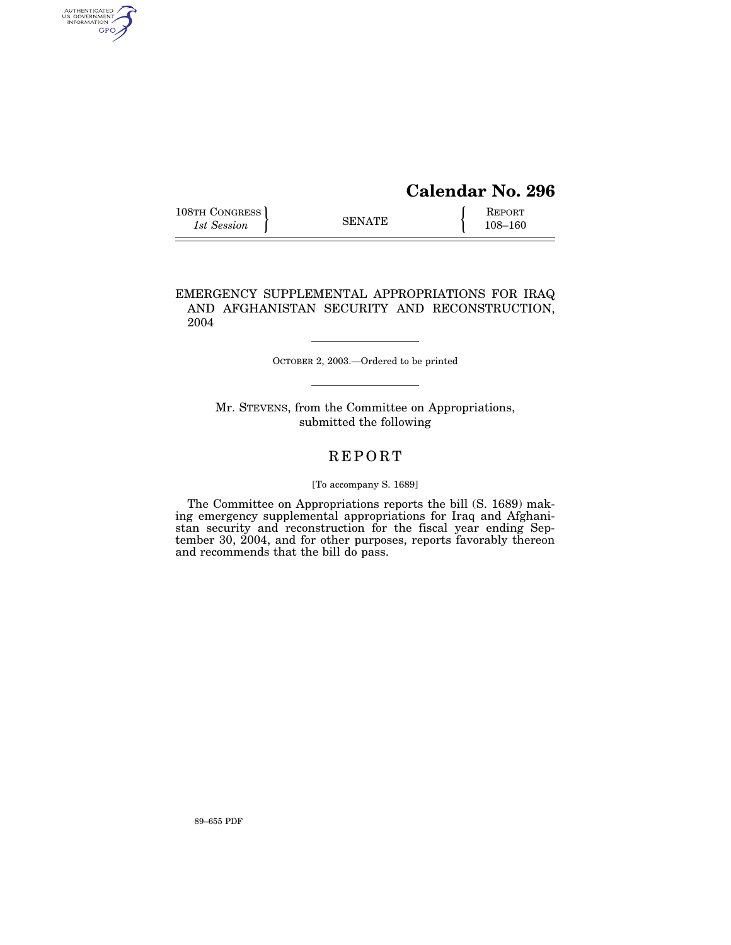# **Calendar No. 296**

108–160

| 108TH CONGRESS |               | REPORT      |
|----------------|---------------|-------------|
| 1st Session    | <b>SENATE</b> | $108 - 160$ |

AUTHENTICATED<br>U.S. GOVERNMENT<br>INFORMATION

GPO

EMERGENCY SUPPLEMENTAL APPROPRIATIONS FOR IRAQ AND AFGHANISTAN SECURITY AND RECONSTRUCTION, 2004

OCTOBER 2, 2003.—Ordered to be printed

Mr. STEVENS, from the Committee on Appropriations, submitted the following

# REPORT

### [To accompany S. 1689]

The Committee on Appropriations reports the bill (S. 1689) making emergency supplemental appropriations for Iraq and Afghanistan security and reconstruction for the fiscal year ending September 30, 2004, and for other purposes, reports favorably thereon and recommends that the bill do pass.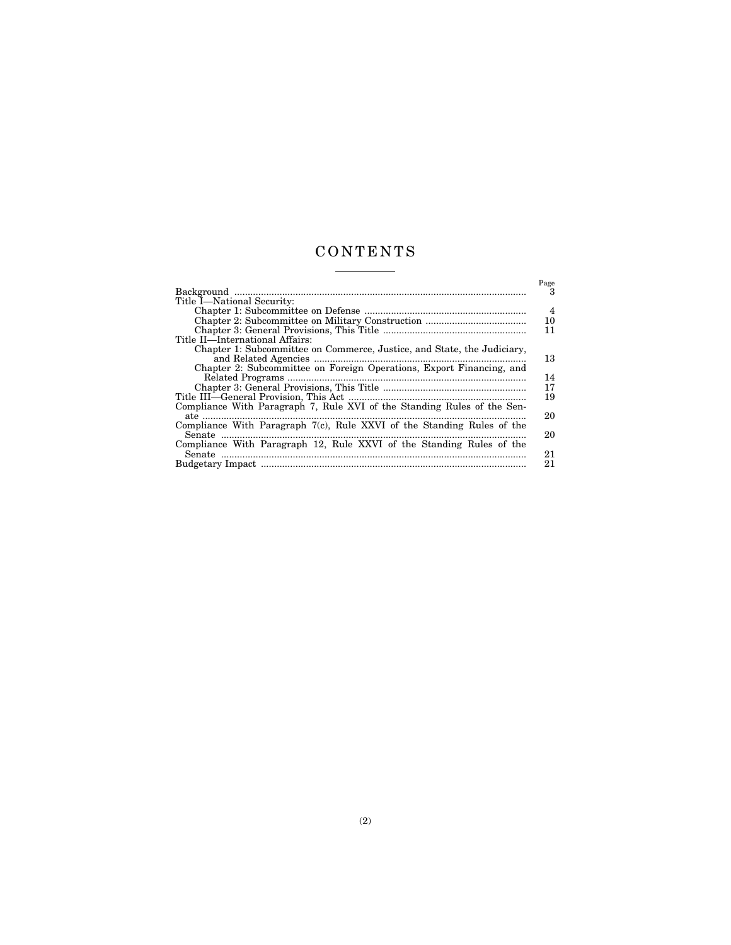# CONTENTS <u> 1999 - Johann Barnett, f</u>

 $\overline{\phantom{a}}$ 

|                                                                           | Page           |
|---------------------------------------------------------------------------|----------------|
|                                                                           | 3              |
| Title I-National Security:                                                |                |
|                                                                           | $\overline{4}$ |
|                                                                           | 10             |
|                                                                           | 11             |
| Title II—International Affairs:                                           |                |
| Chapter 1: Subcommittee on Commerce, Justice, and State, the Judiciary,   |                |
|                                                                           | 13             |
| Chapter 2: Subcommittee on Foreign Operations, Export Financing, and      |                |
|                                                                           | 14             |
|                                                                           | 17             |
|                                                                           | 19             |
| Compliance With Paragraph 7, Rule XVI of the Standing Rules of the Sen-   |                |
|                                                                           | 20             |
| Compliance With Paragraph $7(c)$ , Rule XXVI of the Standing Rules of the |                |
|                                                                           | 20             |
| Compliance With Paragraph 12, Rule XXVI of the Standing Rules of the      |                |
|                                                                           | 21             |
|                                                                           | 21             |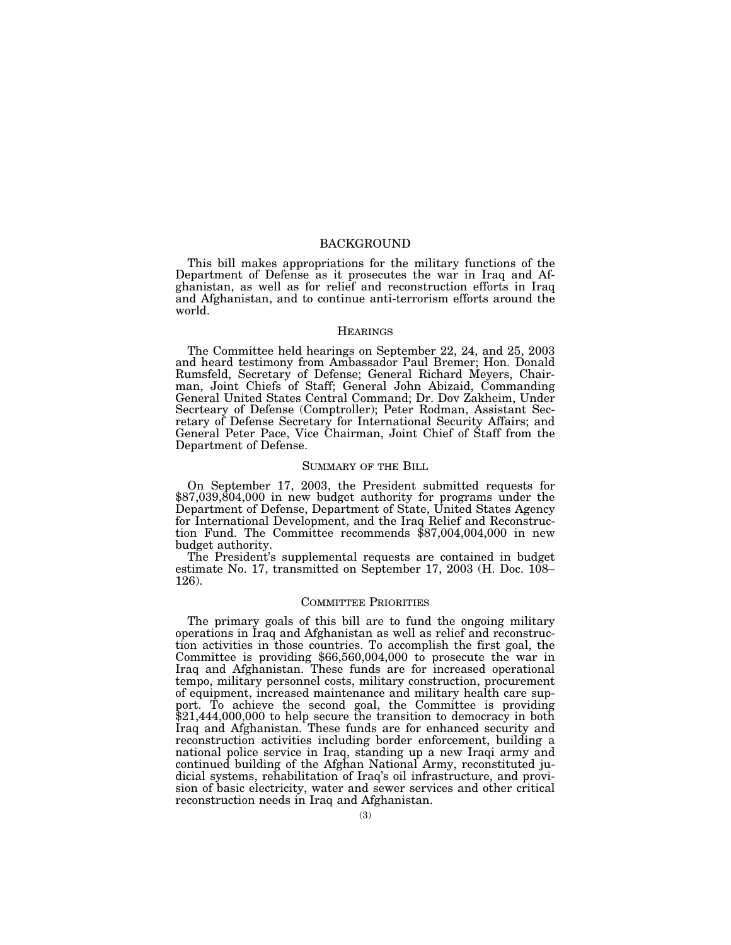### BACKGROUND

This bill makes appropriations for the military functions of the Department of Defense as it prosecutes the war in Iraq and Afghanistan, as well as for relief and reconstruction efforts in Iraq and Afghanistan, and to continue anti-terrorism efforts around the world.

#### **HEARINGS**

The Committee held hearings on September 22, 24, and 25, 2003 and heard testimony from Ambassador Paul Bremer; Hon. Donald Rumsfeld, Secretary of Defense; General Richard Meyers, Chairman, Joint Chiefs of Staff; General John Abizaid, Commanding General United States Central Command; Dr. Dov Zakheim, Under Secrteary of Defense (Comptroller); Peter Rodman, Assistant Secretary of Defense Secretary for International Security Affairs; and General Peter Pace, Vice Chairman, Joint Chief of Staff from the Department of Defense.

### SUMMARY OF THE BILL

On September 17, 2003, the President submitted requests for \$87,039,804,000 in new budget authority for programs under the Department of Defense, Department of State, United States Agency for International Development, and the Iraq Relief and Reconstruction Fund. The Committee recommends \$87,004,004,000 in new budget authority.

The President's supplemental requests are contained in budget estimate No. 17, transmitted on September 17, 2003 (H. Doc. 108– 126).

#### COMMITTEE PRIORITIES

The primary goals of this bill are to fund the ongoing military operations in Iraq and Afghanistan as well as relief and reconstruction activities in those countries. To accomplish the first goal, the Committee is providing \$66,560,004,000 to prosecute the war in Iraq and Afghanistan. These funds are for increased operational tempo, military personnel costs, military construction, procurement of equipment, increased maintenance and military health care support. To achieve the second goal, the Committee is providing \$21,444,000,000 to help secure the transition to democracy in both Iraq and Afghanistan. These funds are for enhanced security and reconstruction activities including border enforcement, building a national police service in Iraq, standing up a new Iraqi army and continued building of the Afghan National Army, reconstituted judicial systems, rehabilitation of Iraq's oil infrastructure, and provision of basic electricity, water and sewer services and other critical reconstruction needs in Iraq and Afghanistan.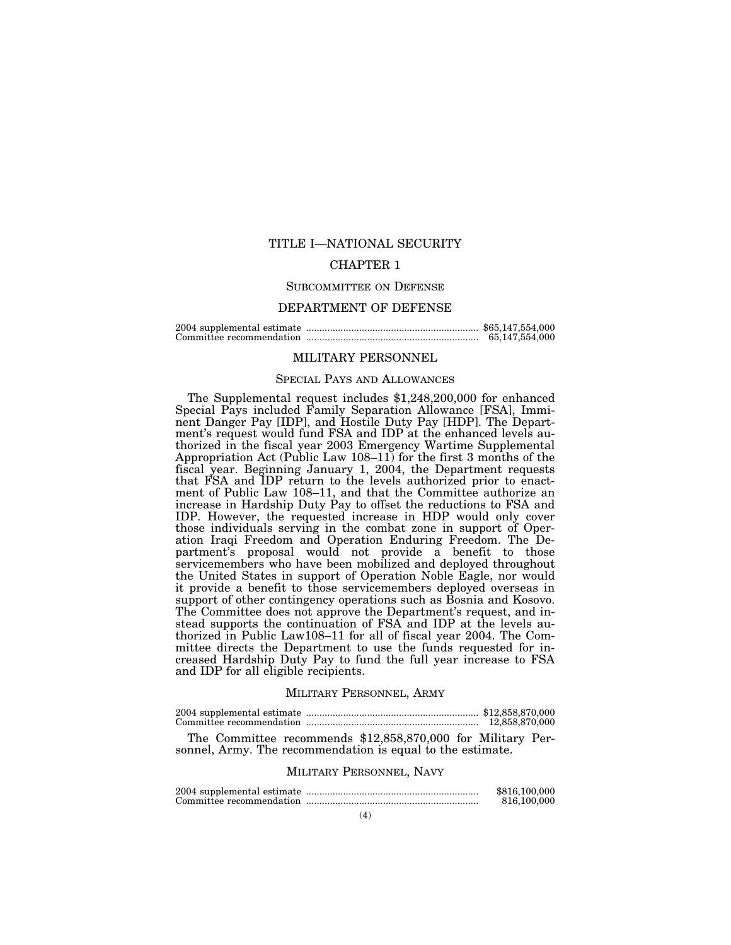### TITLE I—NATIONAL SECURITY

### CHAPTER 1

#### SUBCOMMITTEE ON DEFENSE

### DEPARTMENT OF DEFENSE

2004 supplemental estimate ................................................................. \$65,147,554,000 Committee recommendation ................................................................. 65,147,554,000

#### MILITARY PERSONNEL

### SPECIAL PAYS AND ALLOWANCES

The Supplemental request includes \$1,248,200,000 for enhanced Special Pays included Family Separation Allowance [FSA], Imminent Danger Pay [IDP], and Hostile Duty Pay [HDP]. The Department's request would fund FSA and IDP at the enhanced levels authorized in the fiscal year 2003 Emergency Wartime Supplemental Appropriation Act (Public Law 108–11) for the first 3 months of the fiscal year. Beginning January 1, 2004, the Department requests that FSA and IDP return to the levels authorized prior to enactment of Public Law 108–11, and that the Committee authorize an increase in Hardship Duty Pay to offset the reductions to FSA and IDP. However, the requested increase in HDP would only cover those individuals serving in the combat zone in support of Operation Iraqi Freedom and Operation Enduring Freedom. The Department's proposal would not provide a benefit to those servicemembers who have been mobilized and deployed throughout the United States in support of Operation Noble Eagle, nor would it provide a benefit to those servicemembers deployed overseas in support of other contingency operations such as Bosnia and Kosovo. The Committee does not approve the Department's request, and instead supports the continuation of FSA and IDP at the levels authorized in Public Law108–11 for all of fiscal year 2004. The Committee directs the Department to use the funds requested for increased Hardship Duty Pay to fund the full year increase to FSA and IDP for all eligible recipients.

### MILITARY PERSONNEL, ARMY

|  | 12,858,870,000 |
|--|----------------|

The Committee recommends \$12,858,870,000 for Military Personnel, Army. The recommendation is equal to the estimate.

#### MILITARY PERSONNEL, NAVY

|  | \$816,100,000 |
|--|---------------|
|  | 816,100,000   |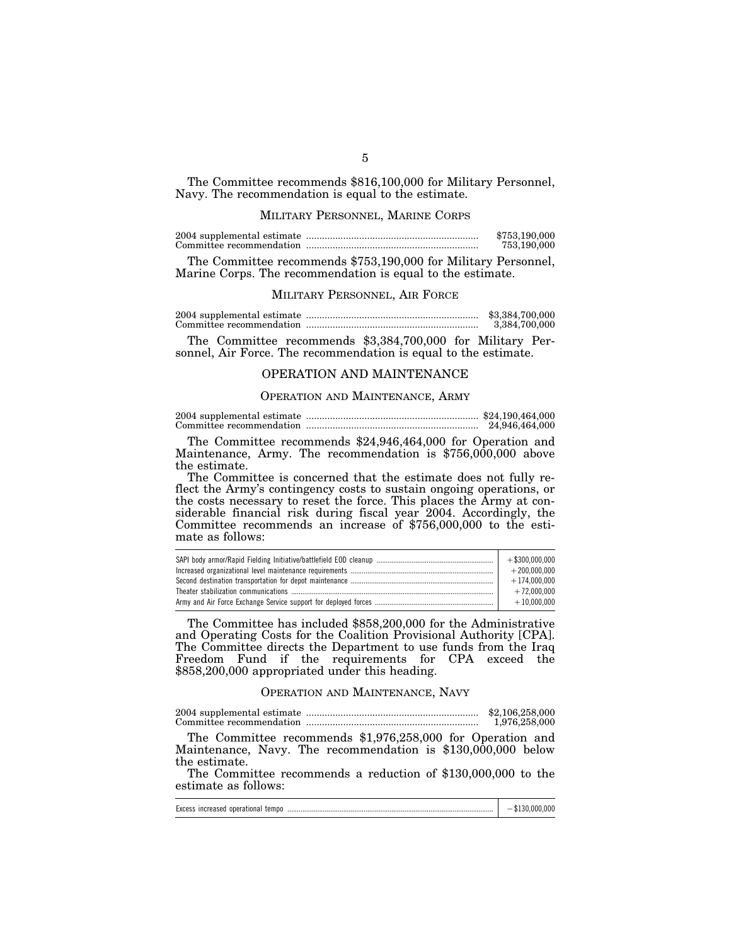The Committee recommends \$816,100,000 for Military Personnel, Navy. The recommendation is equal to the estimate.

### MILITARY PERSONNEL, MARINE CORPS

|  | \$753,190,000 |
|--|---------------|
|  | 753,190,000   |

The Committee recommends \$753,190,000 for Military Personnel, Marine Corps. The recommendation is equal to the estimate.

### MILITARY PERSONNEL, AIR FORCE

2004 supplemental estimate ................................................................. \$3,384,700,000 Committee recommendation ................................................................. 3,384,700,000

The Committee recommends \$3,384,700,000 for Military Personnel, Air Force. The recommendation is equal to the estimate.

### OPERATION AND MAINTENANCE

#### OPERATION AND MAINTENANCE, ARMY

|  | \$24,190,464,000 |
|--|------------------|
|  | 24,946,464,000   |

The Committee recommends \$24,946,464,000 for Operation and Maintenance, Army. The recommendation is \$756,000,000 above the estimate.

The Committee is concerned that the estimate does not fully reflect the Army's contingency costs to sustain ongoing operations, or the costs necessary to reset the force. This places the Army at considerable financial risk during fiscal year 2004. Accordingly, the Committee recommends an increase of \$756,000,000 to the estimate as follows:

| $+$ \$300.000.000 |
|-------------------|
| $+200.000.000$    |
| $+174.000.000$    |
| $+72.000.000$     |
| $+10.000.000$     |
|                   |

The Committee has included \$858,200,000 for the Administrative and Operating Costs for the Coalition Provisional Authority [CPA]. The Committee directs the Department to use funds from the Iraq Freedom Fund if the requirements for CPA exceed the \$858,200,000 appropriated under this heading.

### OPERATION AND MAINTENANCE, NAVY

|  | \$2,106,258,000 |
|--|-----------------|
|  | 1,976,258,000   |

The Committee recommends \$1,976,258,000 for Operation and Maintenance, Navy. The recommendation is \$130,000,000 below the estimate.

The Committee recommends a reduction of \$130,000,000 to the estimate as follows:

|  | Excess increased operational tempo |  |  |  |
|--|------------------------------------|--|--|--|
|--|------------------------------------|--|--|--|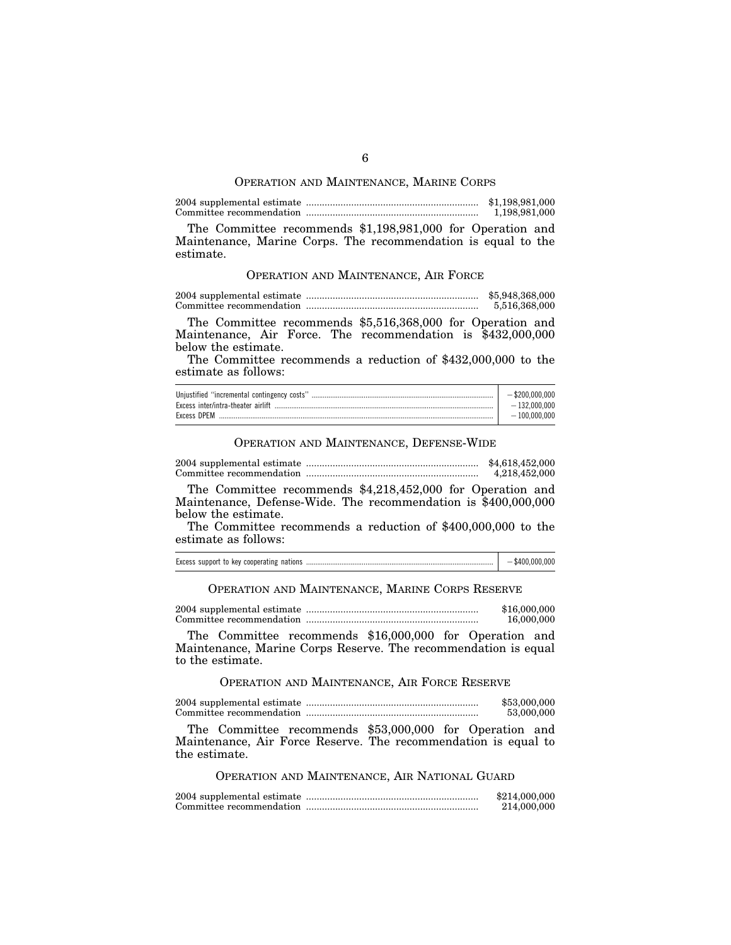#### OPERATION AND MAINTENANCE, MARINE CORPS

|  | \$1,198,981,000 |
|--|-----------------|
|  | 1,198,981,000   |

The Committee recommends \$1,198,981,000 for Operation and Maintenance, Marine Corps. The recommendation is equal to the estimate.

### OPERATION AND MAINTENANCE, AIR FORCE

2004 supplemental estimate ................................................................. \$5,948,368,000 Committee recommendation ................................................................. 5,516,368,000

The Committee recommends \$5,516,368,000 for Operation and Maintenance, Air Force. The recommendation is \$432,000,000 below the estimate.

The Committee recommends a reduction of \$432,000,000 to the estimate as follows:

| Unjustified "incremental contingency costs" | $-$ \$200.000.000 |
|---------------------------------------------|-------------------|
|                                             | $-132.000.000$    |
| Excess DPEM                                 | $-100.000.000$    |

### OPERATION AND MAINTENANCE, DEFENSE-WIDE

2004 supplemental estimate ................................................................. \$4,618,452,000 Committee recommendation ................................................................. 4,218,452,000

The Committee recommends \$4,218,452,000 for Operation and Maintenance, Defense-Wide. The recommendation is \$400,000,000 below the estimate.

The Committee recommends a reduction of \$400,000,000 to the estimate as follows:

| Excess support to key cooperating nations | \$400,000,000 |
|-------------------------------------------|---------------|
|-------------------------------------------|---------------|

OPERATION AND MAINTENANCE, MARINE CORPS RESERVE

2004 supplemental estimate ................................................................. \$16,000,000 Committee recommendation ................................................................. 16,000,000

The Committee recommends \$16,000,000 for Operation and Maintenance, Marine Corps Reserve. The recommendation is equal to the estimate.

OPERATION AND MAINTENANCE, AIR FORCE RESERVE

2004 supplemental estimate ................................................................. \$53,000,000 Committee recommendation ................................................................. 53,000,000

The Committee recommends \$53,000,000 for Operation and Maintenance, Air Force Reserve. The recommendation is equal to the estimate.

OPERATION AND MAINTENANCE, AIR NATIONAL GUARD

|  | \$214,000,000 |
|--|---------------|
|  | 214,000,000   |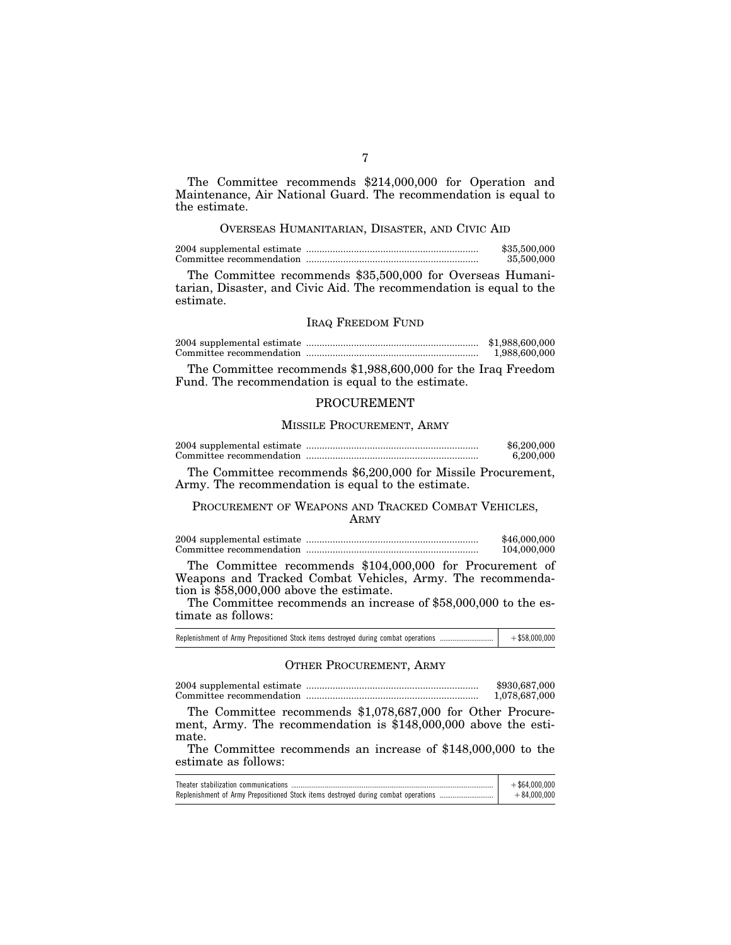The Committee recommends \$214,000,000 for Operation and Maintenance, Air National Guard. The recommendation is equal to the estimate.

### OVERSEAS HUMANITARIAN, DISASTER, AND CIVIC AID

|  | \$35,500,000 |
|--|--------------|
|  | 35,500,000   |

The Committee recommends \$35,500,000 for Overseas Humanitarian, Disaster, and Civic Aid. The recommendation is equal to the estimate.

### IRAQ FREEDOM FUND

|  | \$1,988,600,000 |
|--|-----------------|
|  | 1.988.600.000   |

The Committee recommends \$1,988,600,000 for the Iraq Freedom Fund. The recommendation is equal to the estimate.

### PROCUREMENT

### MISSILE PROCUREMENT, ARMY

|  | \$6,200,000 |
|--|-------------|
|  | 6,200,000   |

The Committee recommends \$6,200,000 for Missile Procurement, Army. The recommendation is equal to the estimate.

### PROCUREMENT OF WEAPONS AND TRACKED COMBAT VEHICLES, ARMY

|  | \$46,000,000 |
|--|--------------|
|  | 104,000,000  |

The Committee recommends \$104,000,000 for Procurement of Weapons and Tracked Combat Vehicles, Army. The recommendation is \$58,000,000 above the estimate.

The Committee recommends an increase of \$58,000,000 to the estimate as follows:

| Replenishment of Army Prepositioned Stock items destroyed during combat operations | $+$ \$58,000,000 |
|------------------------------------------------------------------------------------|------------------|
|------------------------------------------------------------------------------------|------------------|

### OTHER PROCUREMENT, ARMY

2004 supplemental estimate ................................................................. \$930,687,000 Committee recommendation ................................................................. 1,078,687,000

The Committee recommends \$1,078,687,000 for Other Procurement, Army. The recommendation is \$148,000,000 above the estimate.

The Committee recommends an increase of \$148,000,000 to the estimate as follows:

| $+$ \$64.000.000 |
|------------------|
| $+84.000.000$    |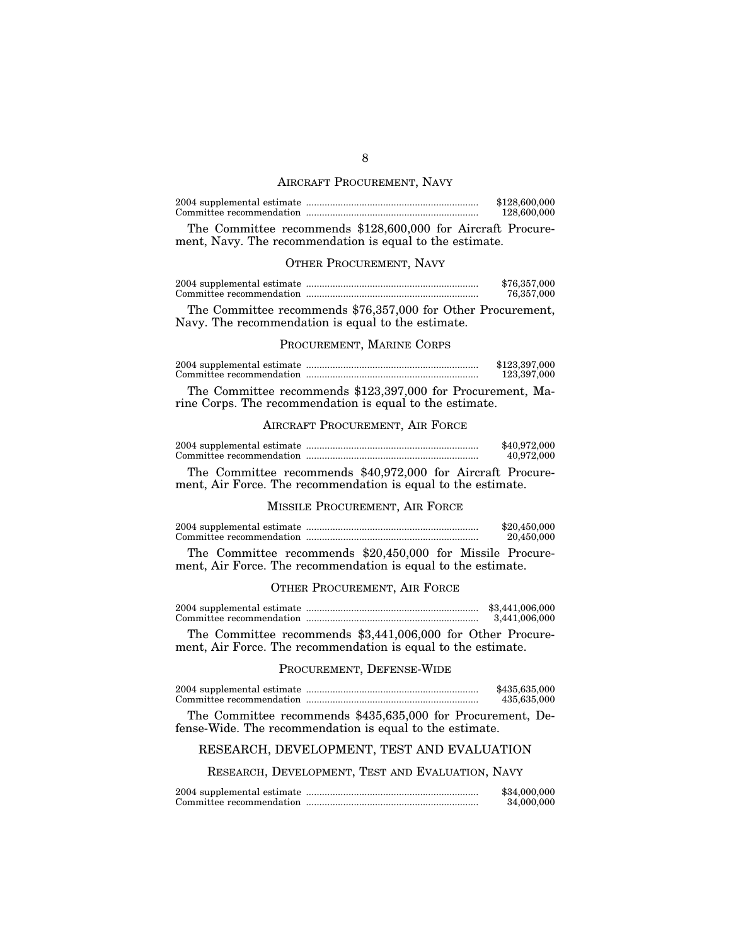#### AIRCRAFT PROCUREMENT, NAVY

|       |  |  |  |  | \$128,600,000<br>128,600,000 |  |
|-------|--|--|--|--|------------------------------|--|
| $- -$ |  |  |  |  |                              |  |

The Committee recommends \$128,600,000 for Aircraft Procurement, Navy. The recommendation is equal to the estimate.

### OTHER PROCUREMENT, NAVY

|  | \$76,357,000 |
|--|--------------|
|  | 76,357,000   |

The Committee recommends \$76,357,000 for Other Procurement, Navy. The recommendation is equal to the estimate.

### PROCUREMENT, MARINE CORPS

|  | \$123,397,000 |
|--|---------------|
|  | 123,397,000   |

The Committee recommends \$123,397,000 for Procurement, Marine Corps. The recommendation is equal to the estimate.

### AIRCRAFT PROCUREMENT, AIR FORCE

|  | \$40,972,000 |
|--|--------------|
|  | 40,972,000   |

The Committee recommends \$40,972,000 for Aircraft Procurement, Air Force. The recommendation is equal to the estimate.

#### MISSILE PROCUREMENT, AIR FORCE

|  | \$20,450,000 |
|--|--------------|
|  | 20,450,000   |

The Committee recommends \$20,450,000 for Missile Procurement, Air Force. The recommendation is equal to the estimate.

#### OTHER PROCUREMENT, AIR FORCE

|  | \$3,441,006,000 |
|--|-----------------|
|  | 3.441.006.000   |

The Committee recommends \$3,441,006,000 for Other Procurement, Air Force. The recommendation is equal to the estimate.

### PROCUREMENT, DEFENSE-WIDE

|  | \$435,635,000 |
|--|---------------|
|  | 435,635,000   |

The Committee recommends \$435,635,000 for Procurement, Defense-Wide. The recommendation is equal to the estimate.

### RESEARCH, DEVELOPMENT, TEST AND EVALUATION

RESEARCH, DEVELOPMENT, TEST AND EVALUATION, NAVY

|  | \$34,000,000 |
|--|--------------|
|  | 34,000,000   |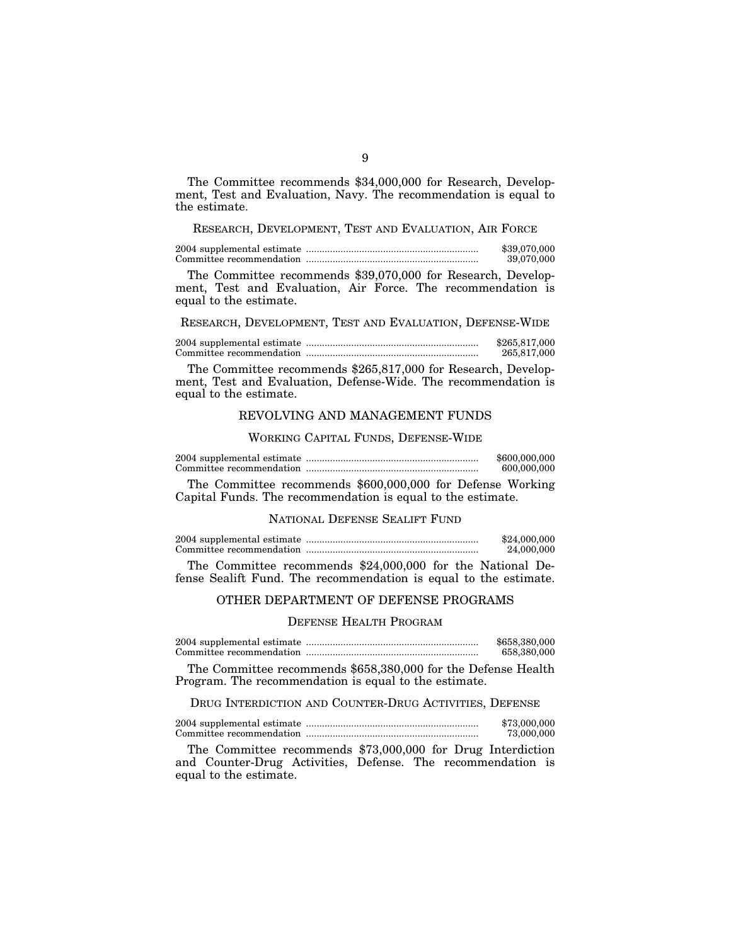The Committee recommends \$34,000,000 for Research, Development, Test and Evaluation, Navy. The recommendation is equal to the estimate.

### RESEARCH, DEVELOPMENT, TEST AND EVALUATION, AIR FORCE

2004 supplemental estimate ................................................................. \$39,070,000 Committee recommendation ................................................................. 39,070,000

The Committee recommends \$39,070,000 for Research, Development, Test and Evaluation, Air Force. The recommendation is equal to the estimate.

RESEARCH, DEVELOPMENT, TEST AND EVALUATION, DEFENSE-WIDE

2004 supplemental estimate ................................................................. \$265,817,000 Committee recommendation ................................................................. 265,817,000

The Committee recommends \$265,817,000 for Research, Development, Test and Evaluation, Defense-Wide. The recommendation is equal to the estimate.

### REVOLVING AND MANAGEMENT FUNDS

WORKING CAPITAL FUNDS, DEFENSE-WIDE

|  | \$600,000,000 |
|--|---------------|
|  | 600,000,000   |

The Committee recommends \$600,000,000 for Defense Working Capital Funds. The recommendation is equal to the estimate.

### NATIONAL DEFENSE SEALIFT FUND

|                                                           | \$24,000,000 |
|-----------------------------------------------------------|--------------|
|                                                           | 24,000,000   |
| The Committee recommends \$94,000,000 for the Nettenal De |              |

The Committee recommends \$24,000,000 for the National Defense Sealift Fund. The recommendation is equal to the estimate.

### OTHER DEPARTMENT OF DEFENSE PROGRAMS

### DEFENSE HEALTH PROGRAM

2004 supplemental estimate ................................................................. \$658,380,000 Committee recommendation ................................................................. 658,380,000

The Committee recommends \$658,380,000 for the Defense Health Program. The recommendation is equal to the estimate.

#### DRUG INTERDICTION AND COUNTER-DRUG ACTIVITIES, DEFENSE

2004 supplemental estimate ................................................................. \$73,000,000 Committee recommendation ................................................................. 73,000,000

The Committee recommends \$73,000,000 for Drug Interdiction and Counter-Drug Activities, Defense. The recommendation is equal to the estimate.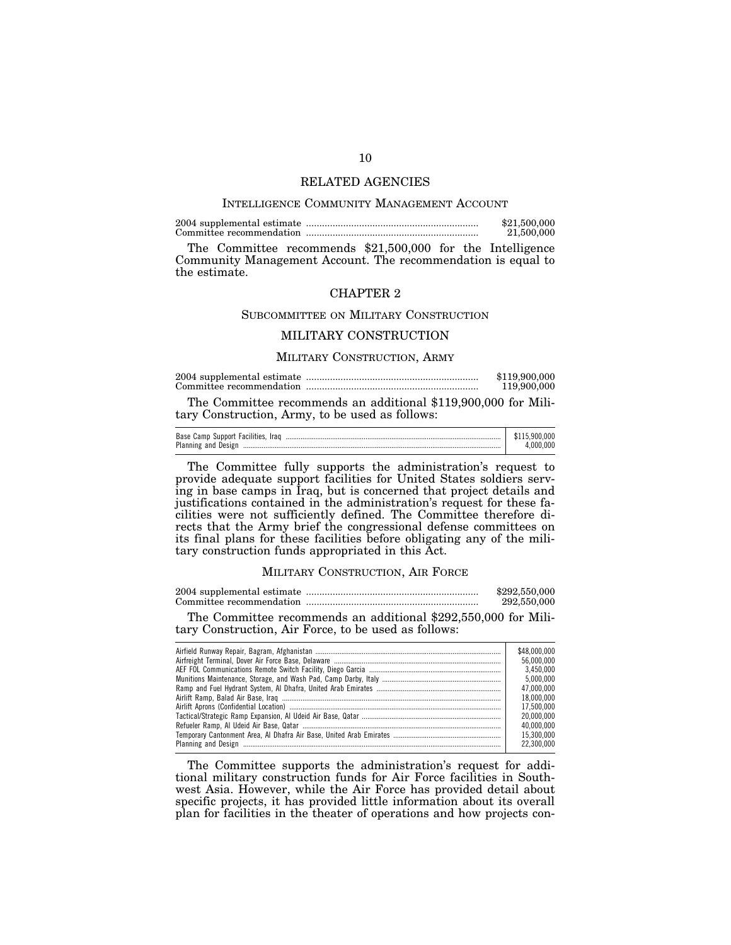#### RELATED AGENCIES

#### INTELLIGENCE COMMUNITY MANAGEMENT ACCOUNT

2004 supplemental estimate ................................................................. \$21,500,000 Committee recommendation ................................................................. 21,500,000

The Committee recommends \$21,500,000 for the Intelligence Community Management Account. The recommendation is equal to the estimate.

#### CHAPTER 2

#### SUBCOMMITTEE ON MILITARY CONSTRUCTION

### MILITARY CONSTRUCTION

#### MILITARY CONSTRUCTION, ARMY

|  | \$119,900,000 |
|--|---------------|
|  | 119,900,000   |

The Committee recommends an additional \$119,900,000 for Military Construction, Army, to be used as follows:

| Base Camp Support Facilities, Iraq |  |
|------------------------------------|--|
| Planning and Design                |  |

The Committee fully supports the administration's request to provide adequate support facilities for United States soldiers serving in base camps in Iraq, but is concerned that project details and justifications contained in the administration's request for these facilities were not sufficiently defined. The Committee therefore directs that the Army brief the congressional defense committees on its final plans for these facilities before obligating any of the military construction funds appropriated in this Act.

#### MILITARY CONSTRUCTION, AIR FORCE

|  | \$292,550,000 |
|--|---------------|
|  | 292,550,000   |

The Committee recommends an additional \$292,550,000 for Military Construction, Air Force, to be used as follows:

| \$48,000,000 |
|--------------|
| 56.000.000   |
| 3.450.000    |
| 5.000.000    |
| 47.000.000   |
| 18.000.000   |
| 17.500.000   |
| 20.000.000   |
| 40.000.000   |
| 15.300.000   |
| 22.300.000   |

The Committee supports the administration's request for additional military construction funds for Air Force facilities in Southwest Asia. However, while the Air Force has provided detail about specific projects, it has provided little information about its overall plan for facilities in the theater of operations and how projects con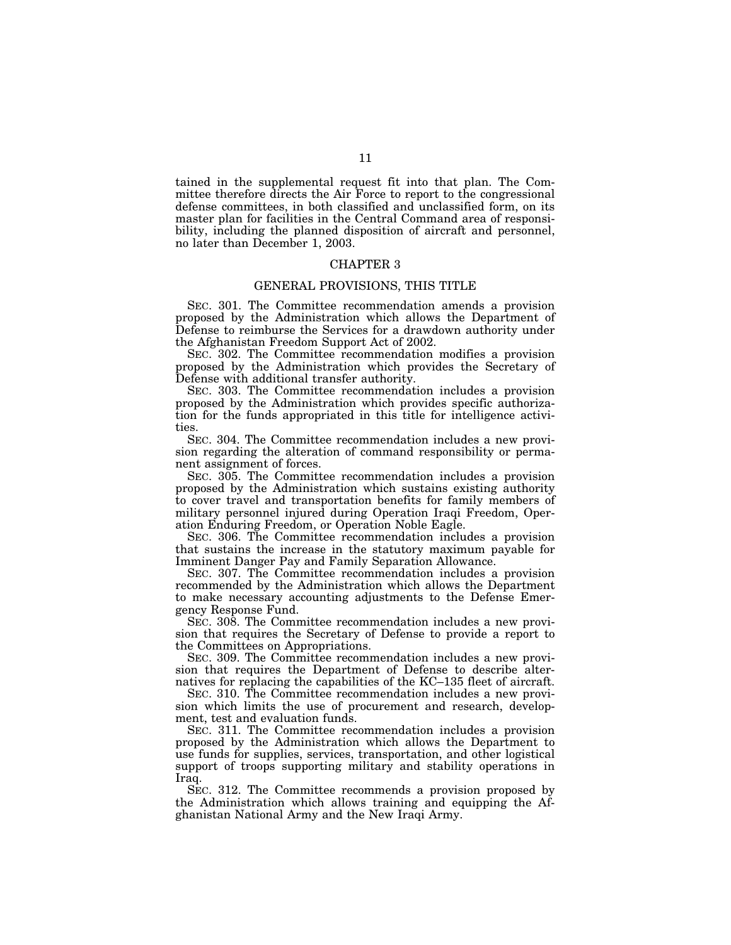tained in the supplemental request fit into that plan. The Committee therefore directs the Air Force to report to the congressional defense committees, in both classified and unclassified form, on its master plan for facilities in the Central Command area of responsibility, including the planned disposition of aircraft and personnel, no later than December 1, 2003.

#### CHAPTER 3

#### GENERAL PROVISIONS, THIS TITLE

SEC. 301. The Committee recommendation amends a provision proposed by the Administration which allows the Department of Defense to reimburse the Services for a drawdown authority under the Afghanistan Freedom Support Act of 2002.

SEC. 302. The Committee recommendation modifies a provision proposed by the Administration which provides the Secretary of Defense with additional transfer authority.

SEC. 303. The Committee recommendation includes a provision proposed by the Administration which provides specific authorization for the funds appropriated in this title for intelligence activities.

SEC. 304. The Committee recommendation includes a new provision regarding the alteration of command responsibility or permanent assignment of forces.

SEC. 305. The Committee recommendation includes a provision proposed by the Administration which sustains existing authority to cover travel and transportation benefits for family members of military personnel injured during Operation Iraqi Freedom, Operation Enduring Freedom, or Operation Noble Eagle.

SEC. 306. The Committee recommendation includes a provision that sustains the increase in the statutory maximum payable for Imminent Danger Pay and Family Separation Allowance.

SEC. 307. The Committee recommendation includes a provision recommended by the Administration which allows the Department to make necessary accounting adjustments to the Defense Emergency Response Fund.

SEC. 308. The Committee recommendation includes a new provision that requires the Secretary of Defense to provide a report to the Committees on Appropriations.

SEC. 309. The Committee recommendation includes a new provision that requires the Department of Defense to describe alternatives for replacing the capabilities of the KC–135 fleet of aircraft.

SEC. 310. The Committee recommendation includes a new provision which limits the use of procurement and research, development, test and evaluation funds.

SEC. 311. The Committee recommendation includes a provision proposed by the Administration which allows the Department to use funds for supplies, services, transportation, and other logistical support of troops supporting military and stability operations in Iraq.

SEC. 312. The Committee recommends a provision proposed by the Administration which allows training and equipping the Afghanistan National Army and the New Iraqi Army.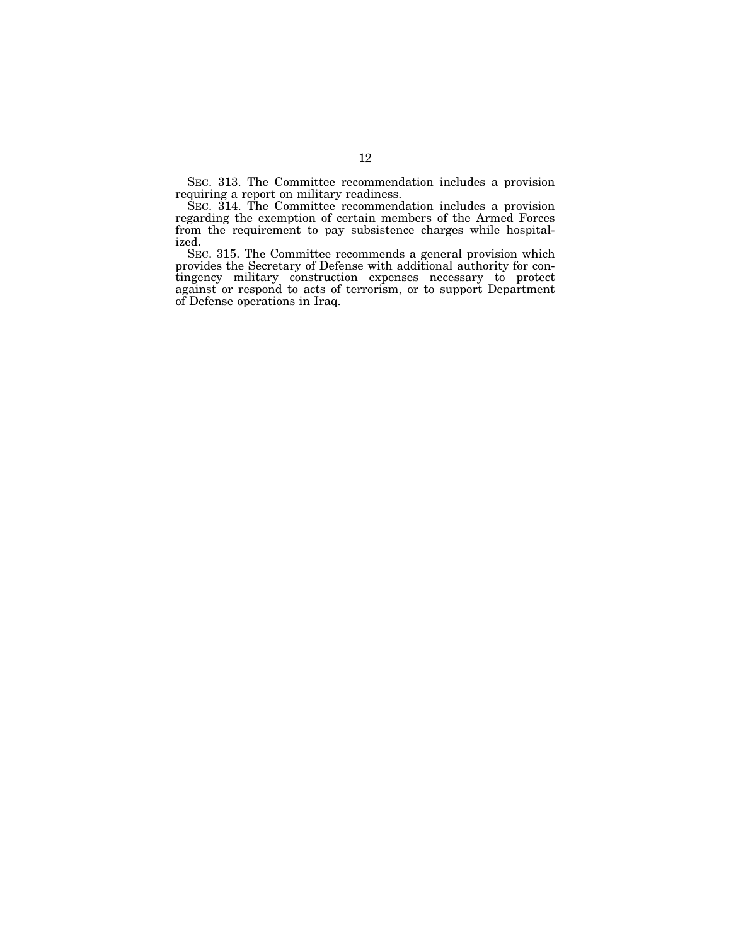SEC. 313. The Committee recommendation includes a provision requiring a report on military readiness.

SEC. 314. The Committee recommendation includes a provision regarding the exemption of certain members of the Armed Forces from the requirement to pay subsistence charges while hospitalized.

SEC. 315. The Committee recommends a general provision which provides the Secretary of Defense with additional authority for contingency military construction expenses necessary to protect against or respond to acts of terrorism, or to support Department of Defense operations in Iraq.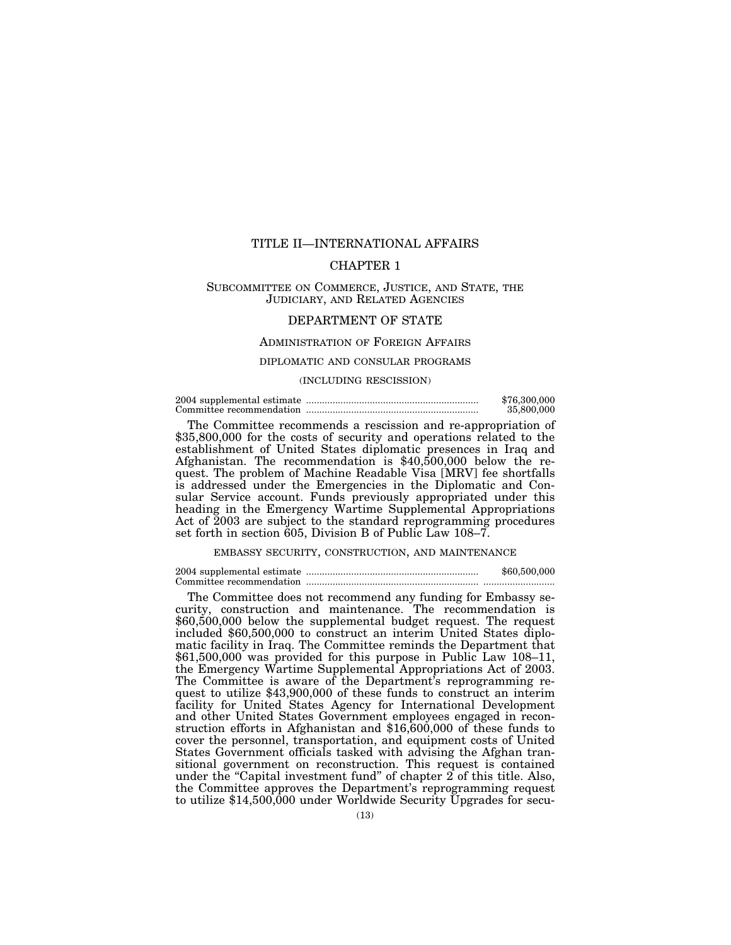### TITLE II—INTERNATIONAL AFFAIRS

### CHAPTER 1

### SUBCOMMITTEE ON COMMERCE, JUSTICE, AND STATE, THE JUDICIARY, AND RELATED AGENCIES

### DEPARTMENT OF STATE

### ADMINISTRATION OF FOREIGN AFFAIRS

#### DIPLOMATIC AND CONSULAR PROGRAMS

#### (INCLUDING RESCISSION)

2004 supplemental estimate ................................................................. \$76,300,000 Committee recommendation ................................................................. 35,800,000

The Committee recommends a rescission and re-appropriation of \$35,800,000 for the costs of security and operations related to the establishment of United States diplomatic presences in Iraq and Afghanistan. The recommendation is \$40,500,000 below the request. The problem of Machine Readable Visa [MRV] fee shortfalls is addressed under the Emergencies in the Diplomatic and Consular Service account. Funds previously appropriated under this heading in the Emergency Wartime Supplemental Appropriations Act of 2003 are subject to the standard reprogramming procedures set forth in section 605, Division B of Public Law 108–7.

EMBASSY SECURITY, CONSTRUCTION, AND MAINTENANCE

2004 supplemental estimate ................................................................. \$60,500,000 Committee recommendation ................................................................. ...........................

The Committee does not recommend any funding for Embassy security, construction and maintenance. The recommendation is \$60,500,000 below the supplemental budget request. The request included \$60,500,000 to construct an interim United States diplomatic facility in Iraq. The Committee reminds the Department that \$61,500,000 was provided for this purpose in Public Law 108–11, the Emergency Wartime Supplemental Appropriations Act of 2003. The Committee is aware of the Department's reprogramming request to utilize \$43,900,000 of these funds to construct an interim facility for United States Agency for International Development and other United States Government employees engaged in reconstruction efforts in Afghanistan and \$16,600,000 of these funds to cover the personnel, transportation, and equipment costs of United States Government officials tasked with advising the Afghan transitional government on reconstruction. This request is contained under the "Capital investment fund" of chapter  $2$  of this title. Also, the Committee approves the Department's reprogramming request to utilize \$14,500,000 under Worldwide Security Upgrades for secu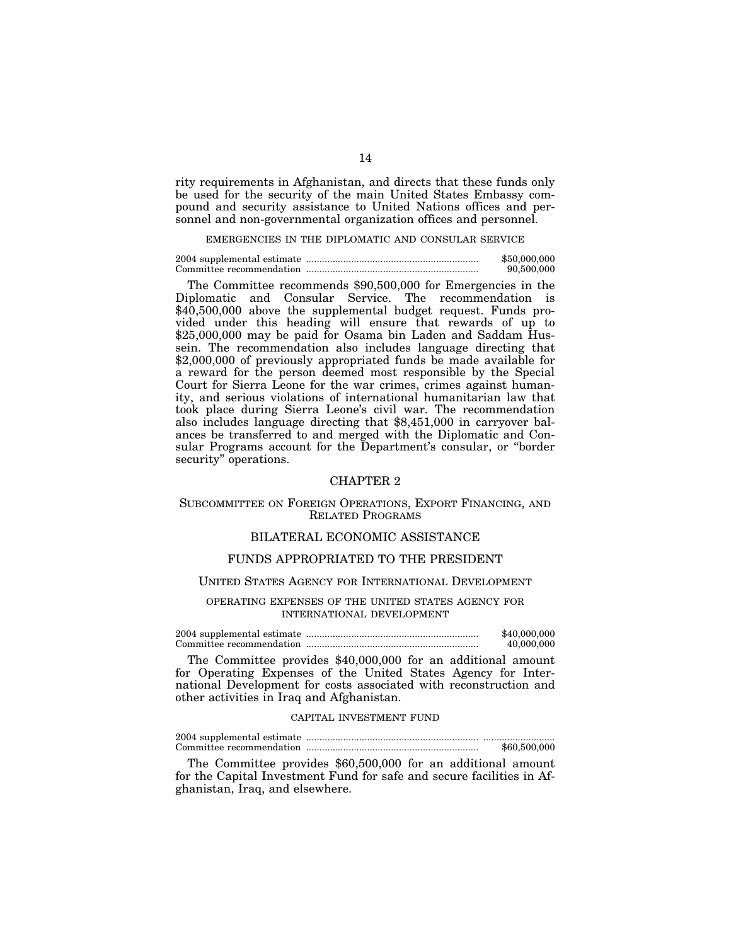rity requirements in Afghanistan, and directs that these funds only be used for the security of the main United States Embassy compound and security assistance to United Nations offices and personnel and non-governmental organization offices and personnel.

### EMERGENCIES IN THE DIPLOMATIC AND CONSULAR SERVICE

|  | \$50,000,000 |
|--|--------------|
|  | 90,500,000   |

The Committee recommends \$90,500,000 for Emergencies in the Diplomatic and Consular Service. The recommendation is \$40,500,000 above the supplemental budget request. Funds provided under this heading will ensure that rewards of up to \$25,000,000 may be paid for Osama bin Laden and Saddam Hussein. The recommendation also includes language directing that \$2,000,000 of previously appropriated funds be made available for a reward for the person deemed most responsible by the Special Court for Sierra Leone for the war crimes, crimes against humanity, and serious violations of international humanitarian law that took place during Sierra Leone's civil war. The recommendation also includes language directing that \$8,451,000 in carryover balances be transferred to and merged with the Diplomatic and Consular Programs account for the Department's consular, or ''border security" operations.

### CHAPTER 2

### SUBCOMMITTEE ON FOREIGN OPERATIONS, EXPORT FINANCING, AND RELATED PROGRAMS

### BILATERAL ECONOMIC ASSISTANCE

### FUNDS APPROPRIATED TO THE PRESIDENT

#### UNITED STATES AGENCY FOR INTERNATIONAL DEVELOPMENT

OPERATING EXPENSES OF THE UNITED STATES AGENCY FOR INTERNATIONAL DEVELOPMENT

2004 supplemental estimate ................................................................. \$40,000,000 Committee recommendation ................................................................. 40,000,000

The Committee provides \$40,000,000 for an additional amount for Operating Expenses of the United States Agency for International Development for costs associated with reconstruction and other activities in Iraq and Afghanistan.

#### CAPITAL INVESTMENT FUND

|  | \$60,500,000 |
|--|--------------|

The Committee provides \$60,500,000 for an additional amount for the Capital Investment Fund for safe and secure facilities in Afghanistan, Iraq, and elsewhere.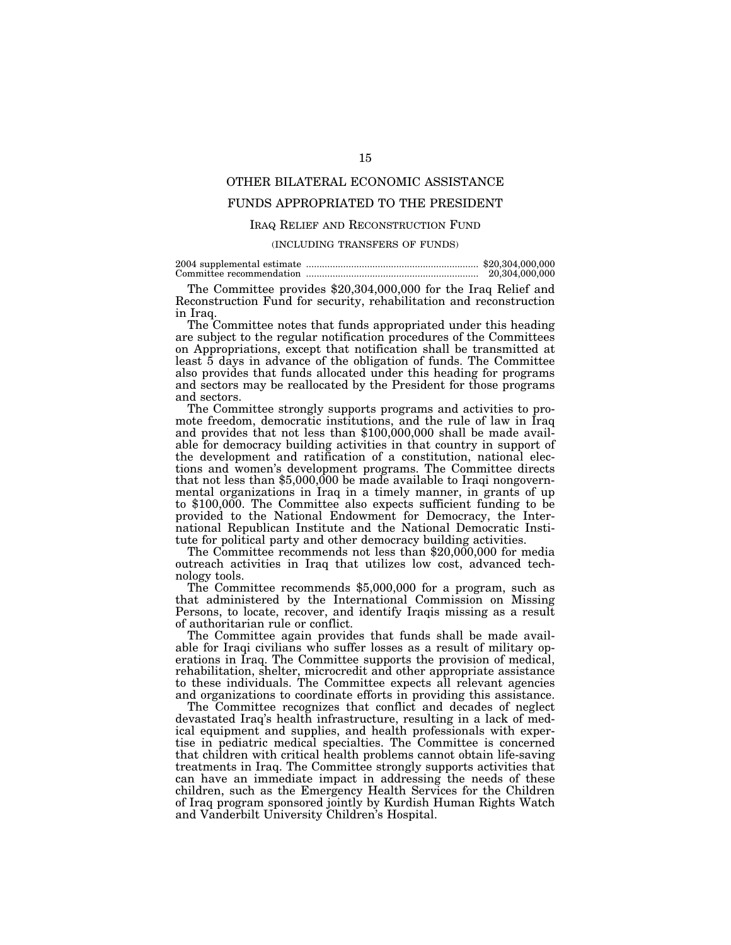### OTHER BILATERAL ECONOMIC ASSISTANCE

### FUNDS APPROPRIATED TO THE PRESIDENT

### IRAQ RELIEF AND RECONSTRUCTION FUND

#### (INCLUDING TRANSFERS OF FUNDS)

|  | 20,304,000,000 |
|--|----------------|

The Committee provides \$20,304,000,000 for the Iraq Relief and Reconstruction Fund for security, rehabilitation and reconstruction in Iraq.

The Committee notes that funds appropriated under this heading are subject to the regular notification procedures of the Committees on Appropriations, except that notification shall be transmitted at least 5 days in advance of the obligation of funds. The Committee also provides that funds allocated under this heading for programs and sectors may be reallocated by the President for those programs and sectors.

The Committee strongly supports programs and activities to promote freedom, democratic institutions, and the rule of law in Iraq and provides that not less than \$100,000,000 shall be made available for democracy building activities in that country in support of the development and ratification of a constitution, national elections and women's development programs. The Committee directs that not less than  $$5,000,000$  be made available to Iraqi nongovernmental organizations in Iraq in a timely manner, in grants of up to \$100,000. The Committee also expects sufficient funding to be provided to the National Endowment for Democracy, the International Republican Institute and the National Democratic Institute for political party and other democracy building activities.

The Committee recommends not less than  $$20,000,000$  for media outreach activities in Iraq that utilizes low cost, advanced technology tools.

The Committee recommends \$5,000,000 for a program, such as that administered by the International Commission on Missing Persons, to locate, recover, and identify Iraqis missing as a result of authoritarian rule or conflict.

The Committee again provides that funds shall be made available for Iraqi civilians who suffer losses as a result of military operations in Iraq. The Committee supports the provision of medical, rehabilitation, shelter, microcredit and other appropriate assistance to these individuals. The Committee expects all relevant agencies and organizations to coordinate efforts in providing this assistance.

The Committee recognizes that conflict and decades of neglect devastated Iraq's health infrastructure, resulting in a lack of medical equipment and supplies, and health professionals with expertise in pediatric medical specialties. The Committee is concerned that children with critical health problems cannot obtain life-saving treatments in Iraq. The Committee strongly supports activities that can have an immediate impact in addressing the needs of these children, such as the Emergency Health Services for the Children of Iraq program sponsored jointly by Kurdish Human Rights Watch and Vanderbilt University Children's Hospital.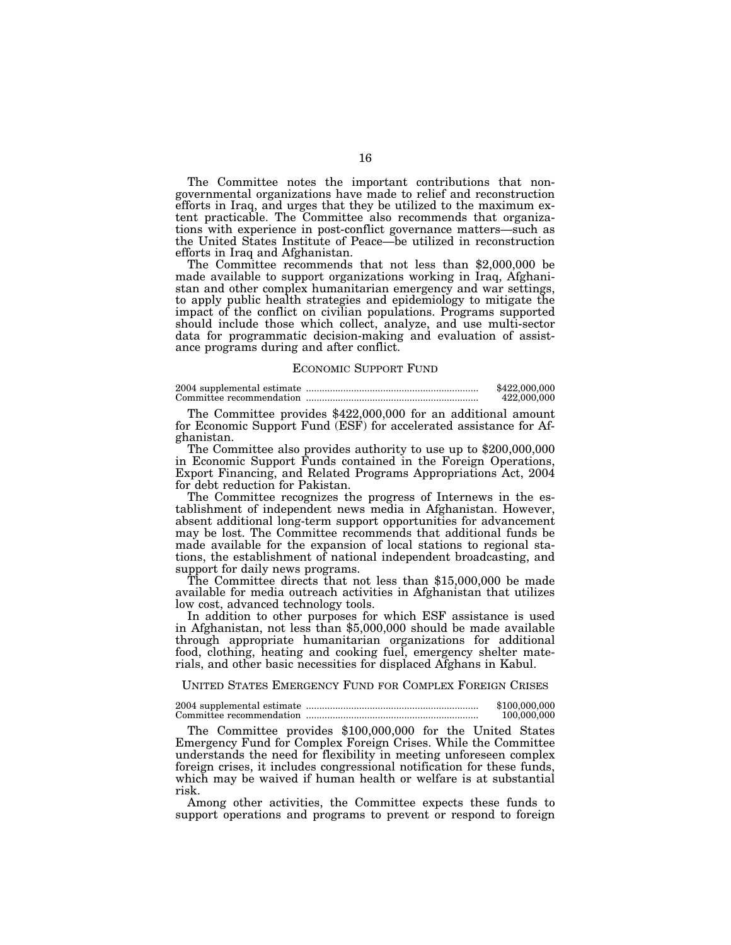The Committee notes the important contributions that nongovernmental organizations have made to relief and reconstruction efforts in Iraq, and urges that they be utilized to the maximum extent practicable. The Committee also recommends that organizations with experience in post-conflict governance matters—such as the United States Institute of Peace—be utilized in reconstruction efforts in Iraq and Afghanistan. The Committee recommends that not less than \$2,000,000 be

made available to support organizations working in Iraq, Afghanistan and other complex humanitarian emergency and war settings, to apply public health strategies and epidemiology to mitigate the impact of the conflict on civilian populations. Programs supported should include those which collect, analyze, and use multi-sector data for programmatic decision-making and evaluation of assistance programs during and after conflict.

#### ECONOMIC SUPPORT FUND

2004 supplemental estimate ................................................................. \$422,000,000 Committee recommendation ................................................................. 422,000,000

The Committee provides \$422,000,000 for an additional amount for Economic Support Fund (ESF) for accelerated assistance for Afghanistan.

The Committee also provides authority to use up to \$200,000,000 in Economic Support Funds contained in the Foreign Operations, Export Financing, and Related Programs Appropriations Act, 2004 for debt reduction for Pakistan.

The Committee recognizes the progress of Internews in the establishment of independent news media in Afghanistan. However, absent additional long-term support opportunities for advancement may be lost. The Committee recommends that additional funds be made available for the expansion of local stations to regional stations, the establishment of national independent broadcasting, and support for daily news programs.

The Committee directs that not less than \$15,000,000 be made available for media outreach activities in Afghanistan that utilizes low cost, advanced technology tools.

In addition to other purposes for which ESF assistance is used in Afghanistan, not less than \$5,000,000 should be made available through appropriate humanitarian organizations for additional food, clothing, heating and cooking fuel, emergency shelter materials, and other basic necessities for displaced Afghans in Kabul.

UNITED STATES EMERGENCY FUND FOR COMPLEX FOREIGN CRISES

2004 supplemental estimate ................................................................. \$100,000,000 Committee recommendation ................................................................. 100,000,000

The Committee provides \$100,000,000 for the United States Emergency Fund for Complex Foreign Crises. While the Committee understands the need for flexibility in meeting unforeseen complex foreign crises, it includes congressional notification for these funds, which may be waived if human health or welfare is at substantial risk.

Among other activities, the Committee expects these funds to support operations and programs to prevent or respond to foreign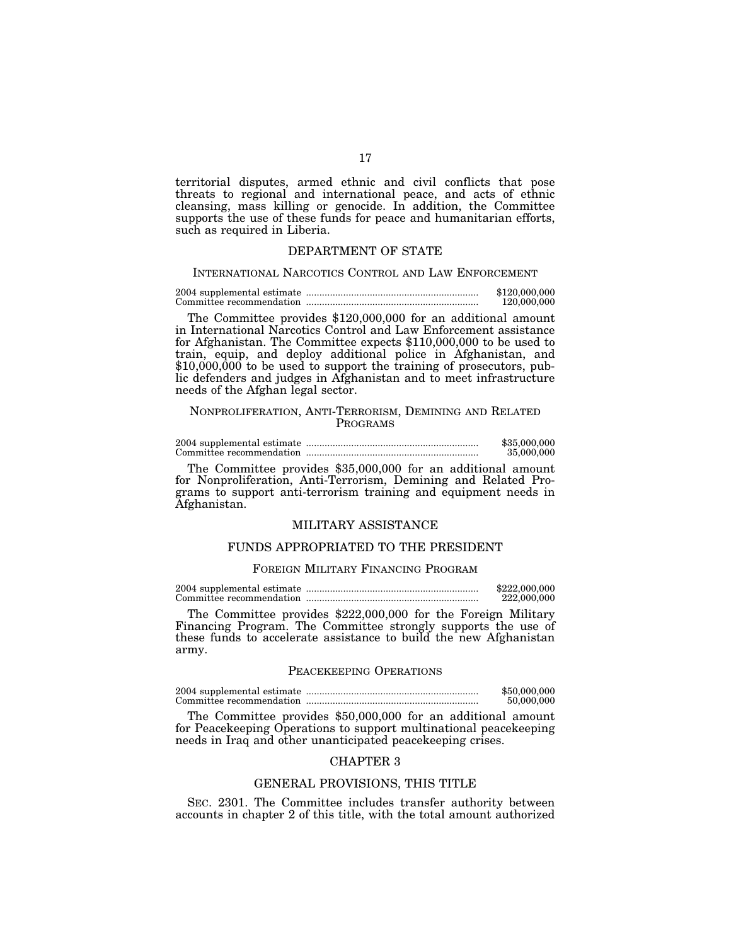territorial disputes, armed ethnic and civil conflicts that pose threats to regional and international peace, and acts of ethnic cleansing, mass killing or genocide. In addition, the Committee supports the use of these funds for peace and humanitarian efforts, such as required in Liberia.

### DEPARTMENT OF STATE

#### INTERNATIONAL NARCOTICS CONTROL AND LAW ENFORCEMENT

2004 supplemental estimate ................................................................. \$120,000,000 Committee recommendation ................................................................. 120,000,000

The Committee provides \$120,000,000 for an additional amount in International Narcotics Control and Law Enforcement assistance for Afghanistan. The Committee expects \$110,000,000 to be used to train, equip, and deploy additional police in Afghanistan, and \$10,000,000 to be used to support the training of prosecutors, public defenders and judges in Afghanistan and to meet infrastructure needs of the Afghan legal sector.

### NONPROLIFERATION, ANTI-TERRORISM, DEMINING AND RELATED PROGRAMS

2004 supplemental estimate ................................................................. \$35,000,000 Committee recommendation ................................................................. 35,000,000

The Committee provides \$35,000,000 for an additional amount for Nonproliferation, Anti-Terrorism, Demining and Related Programs to support anti-terrorism training and equipment needs in Afghanistan.

### MILITARY ASSISTANCE

### FUNDS APPROPRIATED TO THE PRESIDENT

#### FOREIGN MILITARY FINANCING PROGRAM

2004 supplemental estimate ................................................................. \$222,000,000 Committee recommendation ................................................................. 222,000,000

The Committee provides \$222,000,000 for the Foreign Military Financing Program. The Committee strongly supports the use of these funds to accelerate assistance to build the new Afghanistan army.

#### PEACEKEEPING OPERATIONS

2004 supplemental estimate ................................................................. \$50,000,000 Committee recommendation ................................................................. 50,000,000

The Committee provides \$50,000,000 for an additional amount for Peacekeeping Operations to support multinational peacekeeping needs in Iraq and other unanticipated peacekeeping crises.

### CHAPTER 3

#### GENERAL PROVISIONS, THIS TITLE

SEC. 2301. The Committee includes transfer authority between accounts in chapter 2 of this title, with the total amount authorized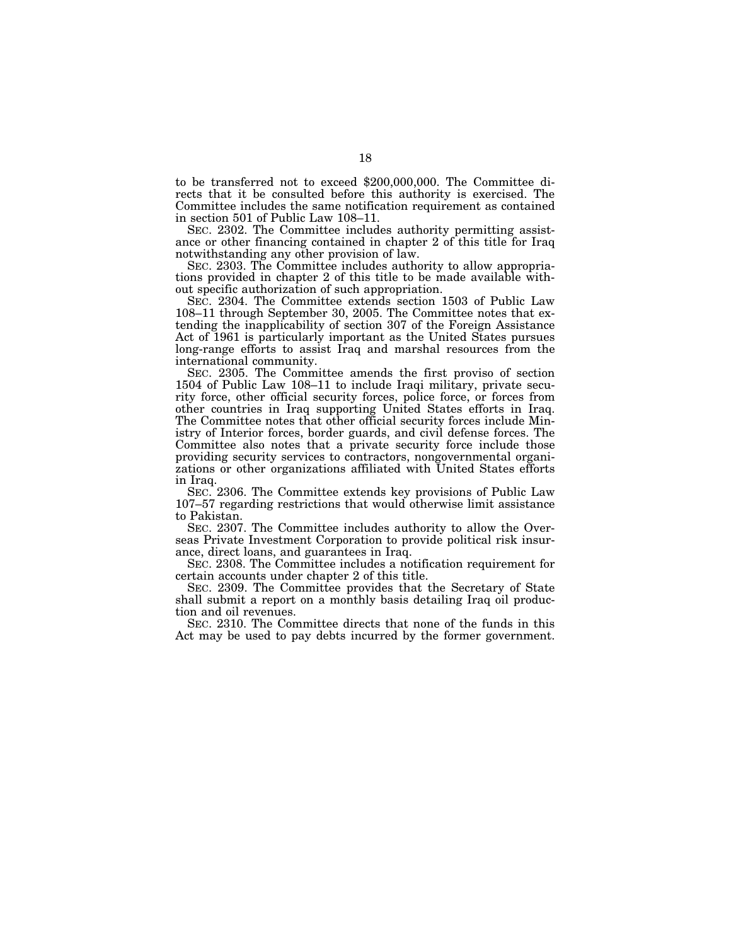to be transferred not to exceed \$200,000,000. The Committee directs that it be consulted before this authority is exercised. The Committee includes the same notification requirement as contained in section 501 of Public Law 108–11.

SEC. 2302. The Committee includes authority permitting assistance or other financing contained in chapter 2 of this title for Iraq notwithstanding any other provision of law.

SEC. 2303. The Committee includes authority to allow appropriations provided in chapter 2 of this title to be made available without specific authorization of such appropriation.

SEC. 2304. The Committee extends section 1503 of Public Law 108–11 through September 30, 2005. The Committee notes that extending the inapplicability of section 307 of the Foreign Assistance Act of 1961 is particularly important as the United States pursues long-range efforts to assist Iraq and marshal resources from the international community.

SEC. 2305. The Committee amends the first proviso of section 1504 of Public Law 108–11 to include Iraqi military, private security force, other official security forces, police force, or forces from other countries in Iraq supporting United States efforts in Iraq. The Committee notes that other official security forces include Ministry of Interior forces, border guards, and civil defense forces. The Committee also notes that a private security force include those providing security services to contractors, nongovernmental organizations or other organizations affiliated with United States efforts in Iraq.

SEC. 2306. The Committee extends key provisions of Public Law 107–57 regarding restrictions that would otherwise limit assistance to Pakistan.

SEC. 2307. The Committee includes authority to allow the Overseas Private Investment Corporation to provide political risk insurance, direct loans, and guarantees in Iraq.

SEC. 2308. The Committee includes a notification requirement for certain accounts under chapter 2 of this title.

SEC. 2309. The Committee provides that the Secretary of State shall submit a report on a monthly basis detailing Iraq oil production and oil revenues.

SEC. 2310. The Committee directs that none of the funds in this Act may be used to pay debts incurred by the former government.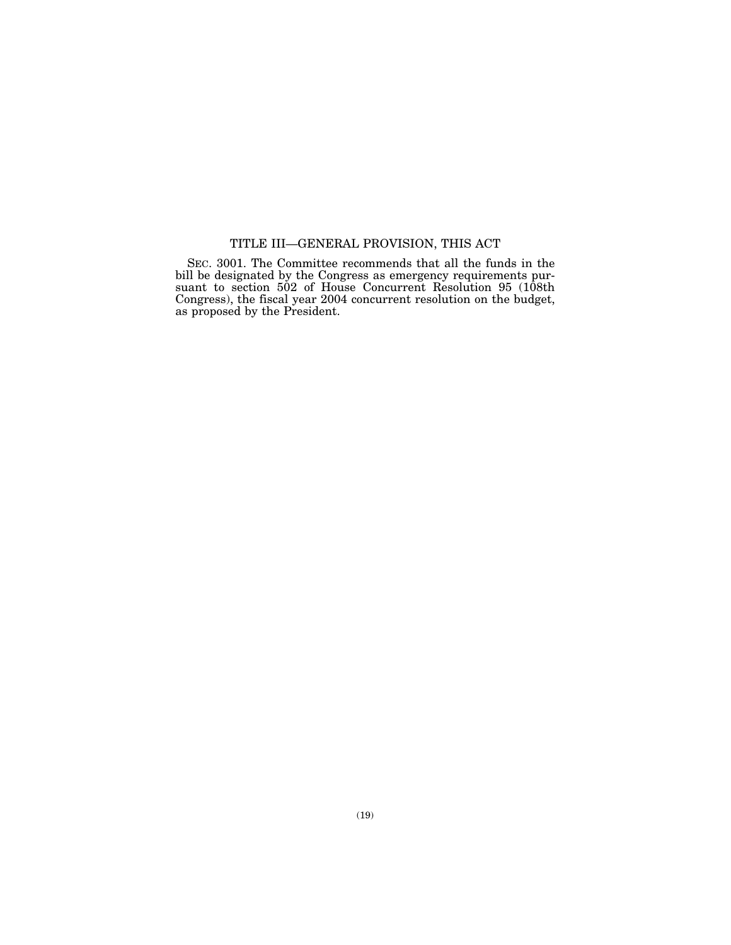# TITLE III—GENERAL PROVISION, THIS ACT

SEC. 3001. The Committee recommends that all the funds in the bill be designated by the Congress as emergency requirements pursuant to section 502 of House Concurrent Resolution 95 (108th Congress), the fiscal year 2004 concurrent resolution on the budget, as proposed by the President.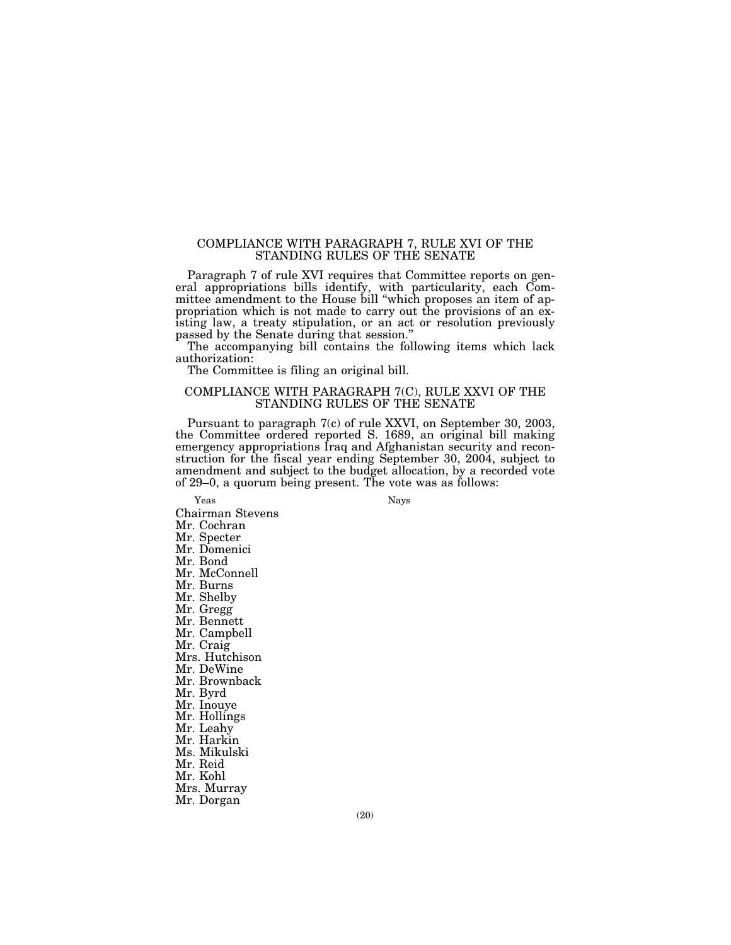### COMPLIANCE WITH PARAGRAPH 7, RULE XVI OF THE STANDING RULES OF THE SENATE

Paragraph 7 of rule XVI requires that Committee reports on general appropriations bills identify, with particularity, each Committee amendment to the House bill ''which proposes an item of appropriation which is not made to carry out the provisions of an existing law, a treaty stipulation, or an act or resolution previously passed by the Senate during that session.''

The accompanying bill contains the following items which lack authorization:

The Committee is filing an original bill.

### COMPLIANCE WITH PARAGRAPH 7(C), RULE XXVI OF THE STANDING RULES OF THE SENATE

Pursuant to paragraph 7(c) of rule XXVI, on September 30, 2003, the Committee ordered reported S. 1689, an original bill making emergency appropriations Iraq and Afghanistan security and reconstruction for the fiscal year ending September 30, 2004, subject to amendment and subject to the budget allocation, by a recorded vote of 29–0, a quorum being present. The vote was as follows:

Yeas Nays

Chairman Stevens Mr. Cochran Mr. Specter Mr. Domenici Mr. Bond Mr. McConnell Mr. Burns Mr. Shelby Mr. Gregg Mr. Bennett Mr. Campbell Mr. Craig Mrs. Hutchison Mr. DeWine Mr. Brownback Mr. Byrd Mr. Inouye Mr. Hollings Mr. Leahy Mr. Harkin Ms. Mikulski Mr. Reid Mr. Kohl Mrs. Murray Mr. Dorgan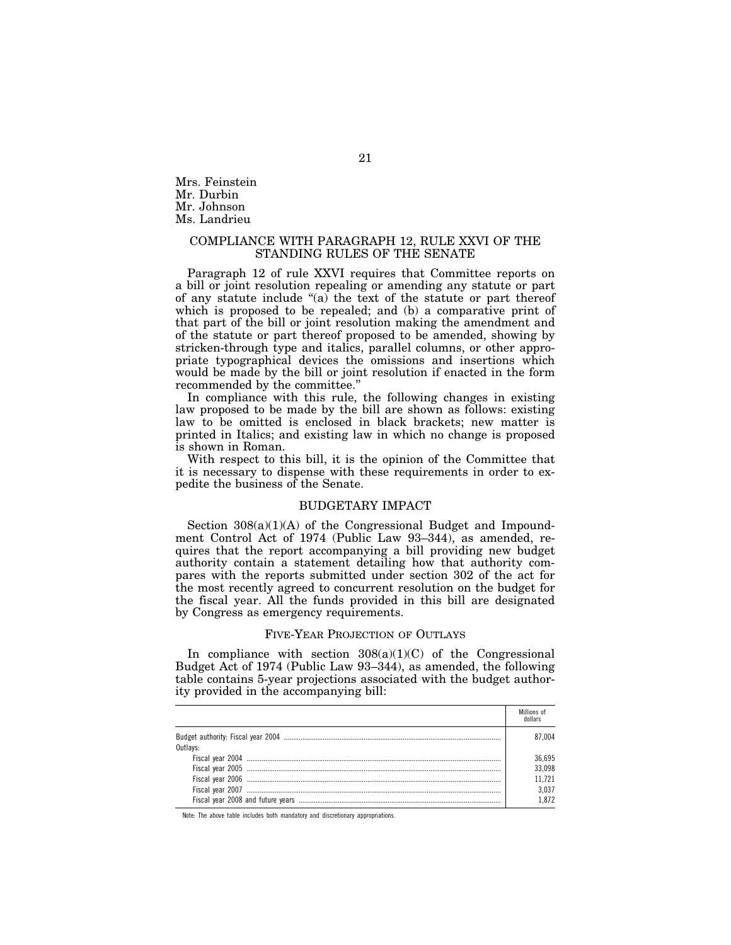Mrs. Feinstein Mr. Durbin Mr. Johnson Ms. Landrieu

### COMPLIANCE WITH PARAGRAPH 12, RULE XXVI OF THE STANDING RULES OF THE SENATE

Paragraph 12 of rule XXVI requires that Committee reports on a bill or joint resolution repealing or amending any statute or part of any statute include ''(a) the text of the statute or part thereof which is proposed to be repealed; and (b) a comparative print of that part of the bill or joint resolution making the amendment and of the statute or part thereof proposed to be amended, showing by stricken-through type and italics, parallel columns, or other appropriate typographical devices the omissions and insertions which would be made by the bill or joint resolution if enacted in the form recommended by the committee.''

In compliance with this rule, the following changes in existing law proposed to be made by the bill are shown as follows: existing law to be omitted is enclosed in black brackets; new matter is printed in Italics; and existing law in which no change is proposed is shown in Roman.

With respect to this bill, it is the opinion of the Committee that it is necessary to dispense with these requirements in order to expedite the business of the Senate.

### BUDGETARY IMPACT

Section  $308(a)(1)(A)$  of the Congressional Budget and Impoundment Control Act of 1974 (Public Law 93–344), as amended, requires that the report accompanying a bill providing new budget authority contain a statement detailing how that authority compares with the reports submitted under section 302 of the act for the most recently agreed to concurrent resolution on the budget for the fiscal year. All the funds provided in this bill are designated by Congress as emergency requirements.

#### FIVE-YEAR PROJECTION OF OUTLAYS

In compliance with section  $308(a)(1)(C)$  of the Congressional Budget Act of 1974 (Public Law 93–344), as amended, the following table contains 5-year projections associated with the budget authority provided in the accompanying bill:

|          | Millions of<br>dollars |
|----------|------------------------|
|          | 87.004                 |
| Outlays: |                        |
|          | 36,695                 |
|          | 33,098                 |
|          | 11.721                 |
|          | 3.037                  |
|          | 1872                   |

Note: The above table includes both mandatory and discretionary appropriations.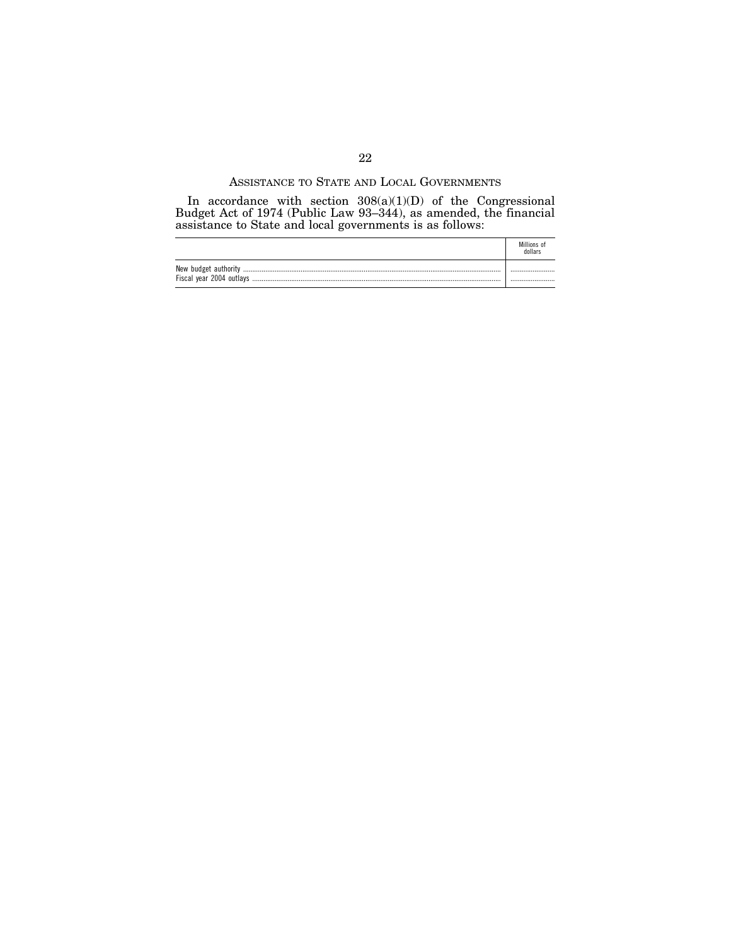### ASSISTANCE TO STATE AND LOCAL GOVERNMENTS

In accordance with section  $308(a)(1)(D)$  of the Congressional Budget Act of 1974 (Public Law 93–344), as amended, the financial assistance to State and local governments is as follows:

|                      | Millions of<br>dollars |
|----------------------|------------------------|
| New budget authority |                        |
|                      |                        |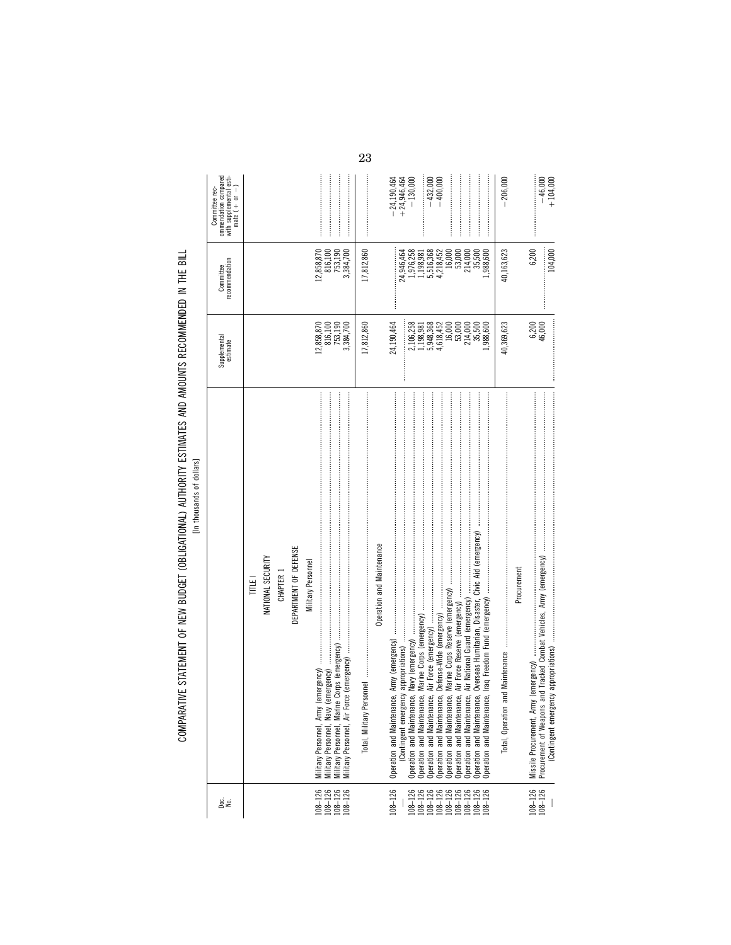COMPARATIVE STATEMENT OF NEW BUDGET (OBLIGATIONAL) AUTHORITY ESTIMATES AND AMOUNTS RECOMMENDED IN THE BILL<br>In thousands of distinct of the state of the Bill COMPARATIVE STATEMENT OF NEW BUDGET (OBLIGATIONAL) AUTHORITY ESTIMATES AND AMOUNTS RECOMMENDED IN THE BILL

[In thousands of dollars]

| gies                                                                            |                                                                                                                                                                                                                                                                                            | Supplemental<br>estimate                                                                                              | recommendation<br>Committee                                                                                                        | ommendation compared<br>with supplemental esti-<br>mate $( + or - )$<br>Committee rec- |
|---------------------------------------------------------------------------------|--------------------------------------------------------------------------------------------------------------------------------------------------------------------------------------------------------------------------------------------------------------------------------------------|-----------------------------------------------------------------------------------------------------------------------|------------------------------------------------------------------------------------------------------------------------------------|----------------------------------------------------------------------------------------|
| $\begin{array}{r} 108 - 126 \\ 108 - 126 \\ 108 - 126 \\ 108 - 126 \end{array}$ | Operation and Maintenance<br>DEPARTMENT OF DEFENSE<br>NATIONAL SECURITY<br><b>Military Personnel</b><br>CHAPTER 1<br>TITLE <sub>1</sub><br>Military Personnel, Army                                                                                                                        | 816,100<br>753,190<br>17,812,860<br>12,858,870<br>3,384,700                                                           | 17,812,860<br>12,858,870<br>816,100<br>753,190<br>3,384,700                                                                        |                                                                                        |
| $108 - 126$<br>108-126<br>108-126<br>108-126<br>108-126<br>108-126<br>108-126   | Air National Guard (emergency)<br>Air Force Reserve (emergency)<br>Operation and Maintenance,<br>Operation and Maintenance,<br>Operation and Maintenance,<br>Operation and Maintenance,<br>Operation and Maintenance,<br>Operation and Maintenance,<br>ງ<br>ເຮົ<br>Operation and Maintenar | 24,190,464<br>2,106,258<br>5,948,368<br>4,618,452<br>$16,000$<br>53,000<br>214,000<br>35,500<br>,988,600<br>1,198,981 | 1,976,258<br>24,946,464<br>5,516,368<br>4,218,452<br>16,000<br>53,000<br>214,000<br>35,500<br>,988,600<br>1,198,981<br>:<br>:<br>: | $-432,000$<br>$-400,000$<br>$+24,946,464$<br>$-24,190,464$<br>$-130,000$               |
|                                                                                 | Procurement<br>Total, Operation                                                                                                                                                                                                                                                            | 40,369,623                                                                                                            | 40,163,623                                                                                                                         | $-206,000$                                                                             |
| $108 - 126$<br>$108 - 126$                                                      | and Tracked Combat Vehicles, Army (emergency)<br>Procurement of Weapons                                                                                                                                                                                                                    | 6,200<br>46,000                                                                                                       | 6,200<br>104,000<br>:<br>:<br>:<br>:                                                                                               | $-46,000$<br>$+104,000$                                                                |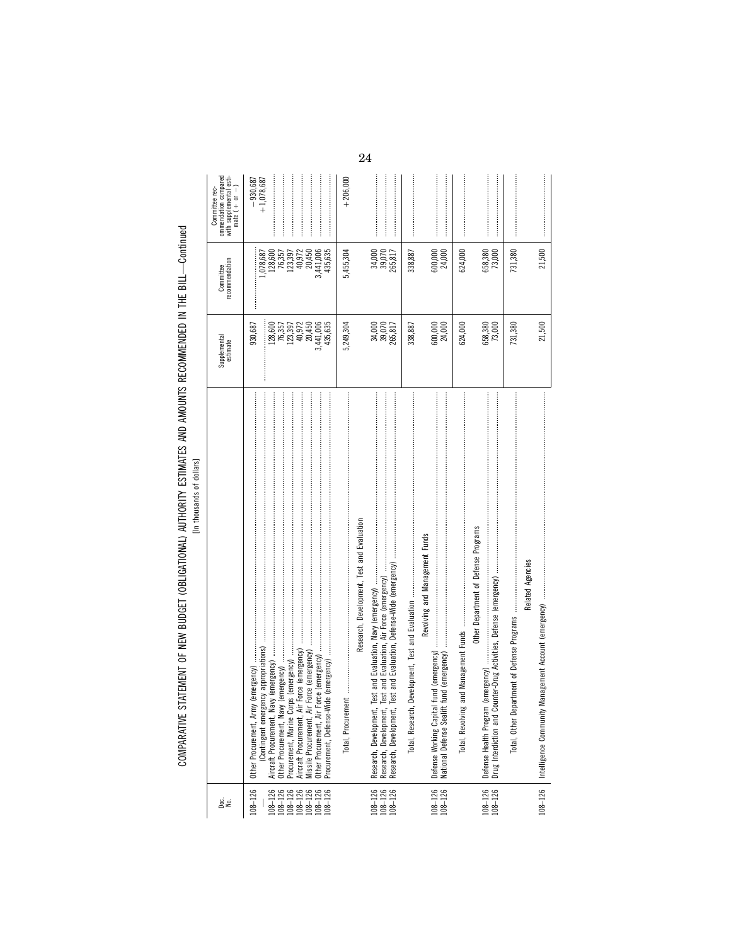| <b>WILLIAM IN THE MILL OF</b><br>ייי היידיידיים היי היום היו היום והמדינה היו היום המדינה הייתוחות המדונה הוא המחוות המדינה היו היום היום בין ה<br>)<br>)<br>)<br>)<br>Ξ<br>$\frac{1}{2}$ |  |
|-------------------------------------------------------------------------------------------------------------------------------------------------------------------------------------------|--|
|                                                                                                                                                                                           |  |
|                                                                                                                                                                                           |  |
|                                                                                                                                                                                           |  |
|                                                                                                                                                                                           |  |
|                                                                                                                                                                                           |  |
| ë<br>3<br>Ċ                                                                                                                                                                               |  |

| ommendation compared<br>with supplemental esti-<br>mate $( + or - )$<br>Committee rec- | $+1,078,687$<br>$-930,687$                                                                                                                                                                    | $+206,000$ |                                                                                                                                                                                    |                  |                                                                                                           |                  |                                                                                                           |                                                 |                                            |
|----------------------------------------------------------------------------------------|-----------------------------------------------------------------------------------------------------------------------------------------------------------------------------------------------|------------|------------------------------------------------------------------------------------------------------------------------------------------------------------------------------------|------------------|-----------------------------------------------------------------------------------------------------------|------------------|-----------------------------------------------------------------------------------------------------------|-------------------------------------------------|--------------------------------------------|
| recommendation<br>Committee                                                            | ,078,687<br>128,600<br>76,357<br>123,397<br>40,972<br>3,441,006<br>435,635<br>20,450                                                                                                          | 5,455,304  | 34,000<br>39,070<br>265,817                                                                                                                                                        | 338,887          | 600,000<br>24,000                                                                                         | 624,000          | 658,380<br>73,000                                                                                         | 731,380                                         | 21,500                                     |
| Supplemental<br>estimate                                                               | 20,450<br>128,600<br>76,357<br>435,635<br>123,397<br>40,972<br>3,441,006<br>930,687                                                                                                           | 5,249,304  | 34,000<br>39,070<br>265,817                                                                                                                                                        | 338,887          | 600,000<br>24,000                                                                                         | 624,000          | 658,380<br>73,000                                                                                         | 731,380                                         | 21,500                                     |
|                                                                                        | Force (emergency)<br>Aircraft Procurement, Air Force (emergency)<br>(emergency)<br>Other Procurement, Army<br>Other Procurement, Navy<br>Procurement, Marine Corp<br>Missile Procurement, Air |            | Research, Development, Test and Evaluation<br>and Evaluation, Defense-Wide (emergency)<br><u>lest</u><br>Research, Development,<br>Research, Development,<br>Research, Development | Total, Research, | Revolving and Management Funds<br>fund (emergency)<br>Defense Working Capital<br>National Defense Sealift | Total, Revolving | Other Department of Defense Programs<br>(emergency)<br>Drug Interdiction and Co<br>Defense Health Program | artment of Defense Programs<br>Total, Other Dep | Related Agencies<br>Intelligence Community |
| ge<br>S                                                                                | $108 - 126$<br>$\begin{array}{r} 108-126 \\ 108-126 \\ 108-126 \\ 108-126 \\ 108-126 \\ 108-126 \\ 108-126 \end{array}$                                                                       |            | $\begin{array}{c} 108-126 \\ 108-126 \\ 108-126 \end{array}$                                                                                                                       |                  | $108 - 126$<br>$108 - 126$                                                                                |                  | $108 - 126$<br>$108 - 126$                                                                                |                                                 | $108 - 126$                                |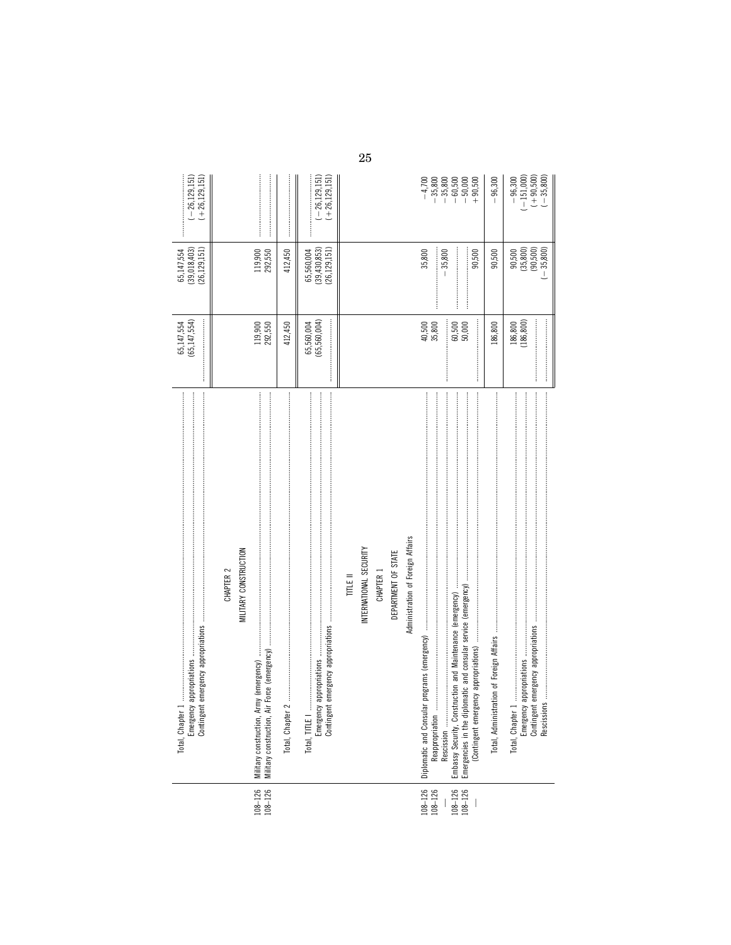|                               | Total, Chapter 1<br>Emergency<br>Contingent                                      | 65,147,554<br>(65,147,554) | 65,147,554<br>(39,018,403)<br>(26, 129, 151)   | $(-26, 129, 151)$<br>$(+26, 129, 151)$<br>ļ                                                              |
|-------------------------------|----------------------------------------------------------------------------------|----------------------------|------------------------------------------------|----------------------------------------------------------------------------------------------------------|
|                               | MILITARY CONSTRUCTION<br>CHAPTER <sub>2</sub>                                    |                            |                                                |                                                                                                          |
| $108 - 126$<br>$108 - 126$    | Military construction, Army (emergency)<br>Military construction, Air            | 119,900<br>292,550         | 119,900<br>292,550                             |                                                                                                          |
|                               | Total, Chapter 2                                                                 | 412,450                    | 412,450                                        |                                                                                                          |
|                               | Total, TITLE I<br>Emergency<br>Contingent                                        | 65,560,004)<br>65,560,004  | (26, 129, 151)<br>(39, 430, 853)<br>65,560,004 | $-26,129,151$<br>$(+26, 129, 151)$                                                                       |
|                               | TITLE II                                                                         |                            |                                                |                                                                                                          |
|                               | INTERNATIONAL SECURITY                                                           |                            |                                                |                                                                                                          |
|                               | CHAPTER 1                                                                        |                            |                                                |                                                                                                          |
|                               | DEPARTMENT OF STATE                                                              |                            |                                                |                                                                                                          |
|                               | Administration of Foreign Affairs                                                |                            |                                                |                                                                                                          |
| $108 - 126$<br>$108 - 126$    | programs (emergency)<br>Diplomatic and Consular<br>Reappropriation<br>Rescission | 40,500<br>35,800           | 35,800<br>$-35,800$                            | $-4,700$                                                                                                 |
| $\frac{108 - 126}{108 - 126}$ | :<br>:<br>:<br>:                                                                 | 60,500<br>50,000           | 90,500                                         | $\begin{array}{r} -35,800 \\ -35,800 \\ -60,500 \\ -1 \\ +90,500 \\ +90,500 \\ +1 \\ +40 \\ \end{array}$ |
|                               |                                                                                  | 186,800                    | 90,500                                         | 96,300                                                                                                   |
|                               | Total, Chapter 1                                                                 |                            | 90,500                                         | $-96,300$                                                                                                |
|                               | Emergency<br>Contingent                                                          | $186,800$<br>$(186,800)$   | $(35,800)$<br>$(90,500)$<br>$(-35,800)$        | $(-151,000)$<br>$(+ 90,500)$<br>$(- 35,800)$                                                             |

 $25\,$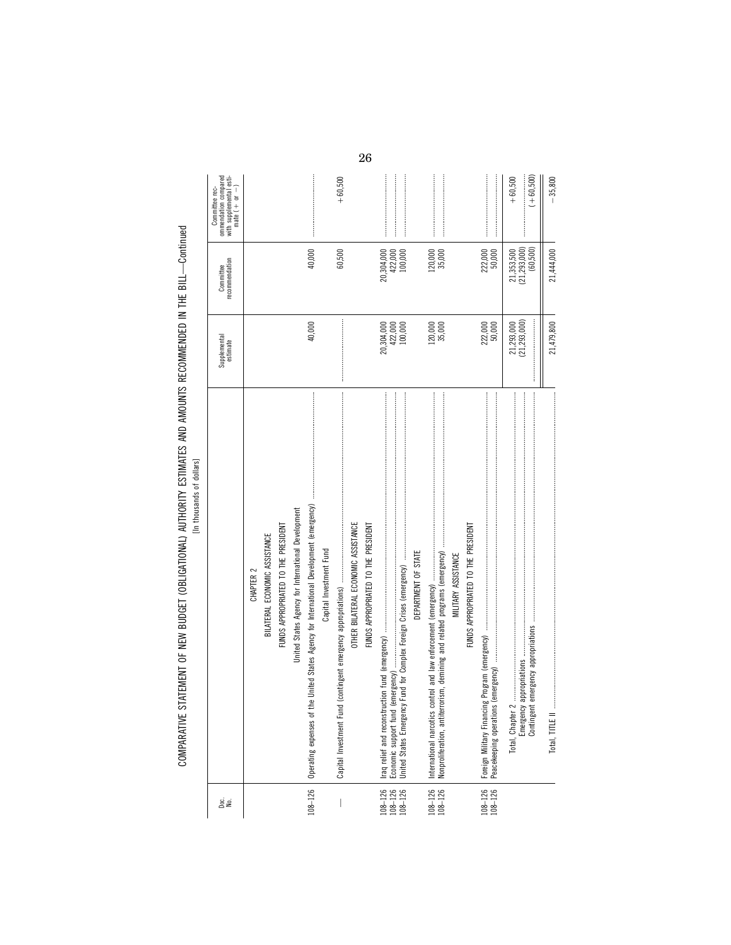COMPARATIVE STATEMENT OF NEW BUDGET (OBLIGATIONAL) AUTHORITY ESTIMATES AND AMOUNTS RECOMMENDED IN THE BILL--Continued<br>[In thousands of dialers COMPARATIVE STATEMENT OF NEW BUDGET (OBLIGATIONAL) AUTHORITY ESTIMATES AND AMOUNTS RECOMMENDED IN THE BILL—Continued

[In thousands of dollars]

| gi<br>≧                                                      |                                                                                                                                                                                                                                                                                                                                                                                                                                | Supplemental<br>estimate | recommendation<br>Committee | ommendation compared<br>with supplemental esti-<br>mate $( + or - )$<br>Committee rec- |
|--------------------------------------------------------------|--------------------------------------------------------------------------------------------------------------------------------------------------------------------------------------------------------------------------------------------------------------------------------------------------------------------------------------------------------------------------------------------------------------------------------|--------------------------|-----------------------------|----------------------------------------------------------------------------------------|
|                                                              | CHAPTER 2                                                                                                                                                                                                                                                                                                                                                                                                                      |                          |                             |                                                                                        |
|                                                              | BILATERAL ECONOMIC ASSISTANCE                                                                                                                                                                                                                                                                                                                                                                                                  |                          |                             |                                                                                        |
|                                                              | FUNDS APPROPRIATED TO THE PRESIDENT                                                                                                                                                                                                                                                                                                                                                                                            |                          |                             |                                                                                        |
|                                                              | United States Agency for International Development                                                                                                                                                                                                                                                                                                                                                                             |                          |                             |                                                                                        |
| $108 - 126$                                                  |                                                                                                                                                                                                                                                                                                                                                                                                                                | 40,000                   | 40,000                      |                                                                                        |
|                                                              | Capital Investment Fund                                                                                                                                                                                                                                                                                                                                                                                                        |                          |                             |                                                                                        |
|                                                              | (contingent emergency appropriations) was an annumeration and continuum continuum continuum continuum<br>Capital Investment Fund                                                                                                                                                                                                                                                                                               |                          | 60,500                      | $+60,500$                                                                              |
|                                                              | OTHER BILATERAL ECONOMIC ASSISTANCE                                                                                                                                                                                                                                                                                                                                                                                            |                          |                             |                                                                                        |
|                                                              | FUNDS APPROPRIATED TO THE PRESIDENT                                                                                                                                                                                                                                                                                                                                                                                            |                          |                             |                                                                                        |
| $\begin{array}{c} 108-126 \\ 108-126 \\ 108-126 \end{array}$ |                                                                                                                                                                                                                                                                                                                                                                                                                                | 422,000<br>20,304,000    | 20,304,000<br>422,000       |                                                                                        |
|                                                              | United States Emergency                                                                                                                                                                                                                                                                                                                                                                                                        | 100,000                  | 100,000                     |                                                                                        |
|                                                              | DEPARTMENT OF STATE                                                                                                                                                                                                                                                                                                                                                                                                            |                          |                             |                                                                                        |
| $108 - 126$<br>$108 - 126$                                   |                                                                                                                                                                                                                                                                                                                                                                                                                                | 120,000<br>35,000        | 120,000<br>35,000           |                                                                                        |
|                                                              | MILITARY ASSISTANCE                                                                                                                                                                                                                                                                                                                                                                                                            |                          |                             |                                                                                        |
|                                                              | FUNDS APPROPRIATED TO THE PRESIDENT                                                                                                                                                                                                                                                                                                                                                                                            |                          |                             |                                                                                        |
| $108 - 126$<br>$108 - 126$                                   | Peacekeeping operations                                                                                                                                                                                                                                                                                                                                                                                                        | 222,000<br>50,000        | 222,000<br>50,000           |                                                                                        |
|                                                              | Total, Chapter 2                                                                                                                                                                                                                                                                                                                                                                                                               | 21,293,000               | 21,353,500                  | $+60,500$                                                                              |
|                                                              | Emergency<br>Contingent                                                                                                                                                                                                                                                                                                                                                                                                        | (21, 293, 000)           | (21, 293, 000)<br>(60,500)  | $(+60,500)$                                                                            |
|                                                              | $\boxed{\text{total}, \text{m1}, \text{m2}, \text{m3}, \text{m3}, \text{m4}, \text{m5}, \text{m5}, \text{m5}, \text{m6}, \text{m7}, \text{m8}, \text{m8}, \text{m8}, \text{m8}, \text{m8}, \text{m8}, \text{m8}, \text{m8}, \text{m8}, \text{m8}, \text{m8}, \text{m8}, \text{m8}, \text{m8}, \text{m8}, \text{m8}, \text{m8}, \text{m8}, \text{m8}, \text{m8}, \text{m8}, \text{m8}, \text{m8}, \text{m8}, \text{m8}, \text{$ | 21,479,800               | 21,444,000                  | $-35,800$                                                                              |